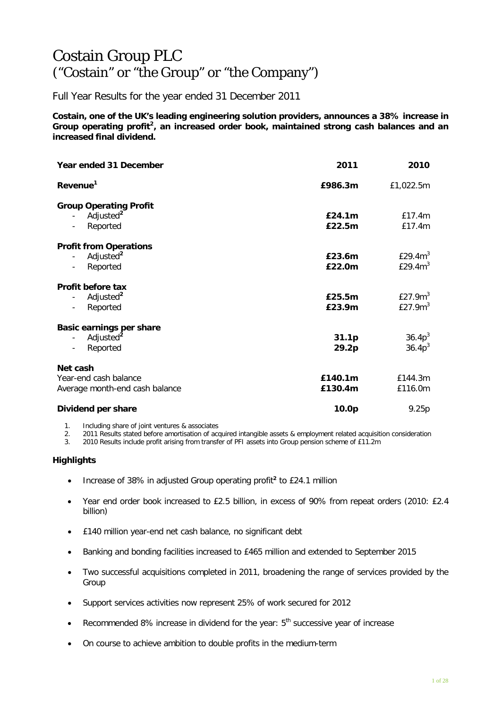# Costain Group PLC ("Costain" or "the Group" or "the Company")

Full Year Results for the year ended 31 December 2011

**Costain, one of the UK's leading engineering solution providers, announces a 38% increase in Group operating profit<sup>2</sup> , an increased order book, maintained strong cash balances and an increased final dividend.** 

| Year ended 31 December                                                                                                     | 2011                       | 2010                              |
|----------------------------------------------------------------------------------------------------------------------------|----------------------------|-----------------------------------|
| Revenue <sup>1</sup>                                                                                                       | £986.3m                    | £1,022.5m                         |
| <b>Group Operating Profit</b><br>Adjusted <sup>2</sup><br>$\overline{\phantom{a}}$<br>Reported<br>$\overline{\phantom{a}}$ | E24.1m<br>£22.5m           | £17.4m<br>£17.4m                  |
| <b>Profit from Operations</b><br>Adjusted <sup>2</sup><br>Reported<br>$\overline{\phantom{a}}$                             | £23.6m<br>£22.0m           | £29.4 $m3$<br>£29.4 $m3$          |
| Profit before tax<br>Adjusted <sup>2</sup><br>Reported<br>$\qquad \qquad \blacksquare$                                     | £25.5m<br>£23.9m           | £27.9 $m3$<br>£27.9 $m3$          |
| Basic earnings per share<br>Adjusted <sup>2</sup><br>Reported<br>$\overline{\phantom{a}}$                                  | 31.1 <sub>p</sub><br>29.2p | $36.4p^{3}$<br>36.4p <sup>3</sup> |
| Net cash<br>Year-end cash balance<br>Average month-end cash balance                                                        | £140.1m<br>£130.4m         | £144.3m<br>£116.0m                |
| Dividend per share                                                                                                         | 10.0p                      | 9.25p                             |

1. Including share of joint ventures & associates

2. 2011 Results stated before amortisation of acquired intangible assets & employment related acquisition consideration<br>3. 2010 Results include profit arising from transfer of PFI assets into Group pension scheme of £11.2m

3. 2010 Results include profit arising from transfer of PFI assets into Group pension scheme of £11.2m

## **Highlights**

- Increase of 38% in adjusted Group operating profit**<sup>2</sup>** to £24.1 million
- Year end order book increased to £2.5 billion, in excess of 90% from repeat orders (2010: £2.4 billion)
- £140 million year-end net cash balance, no significant debt
- Banking and bonding facilities increased to £465 million and extended to September 2015
- Two successful acquisitions completed in 2011, broadening the range of services provided by the Group
- Support services activities now represent 25% of work secured for 2012
- Recommended 8% increase in dividend for the year:  $5<sup>th</sup>$  successive year of increase
- On course to achieve ambition to double profits in the medium-term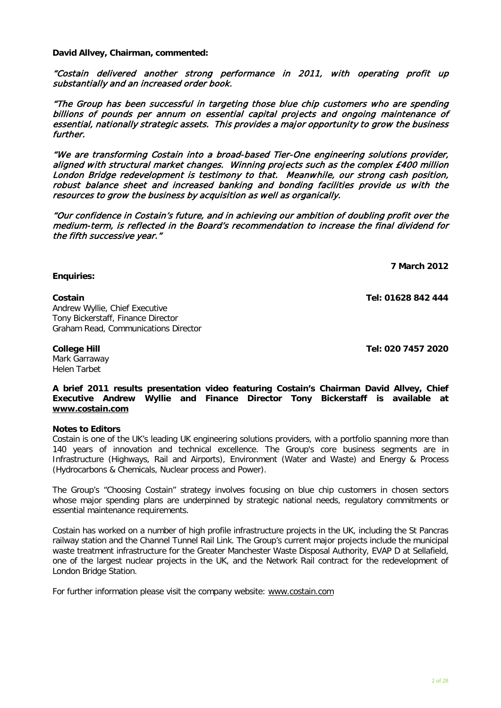**David Allvey, Chairman, commented:**

"Costain delivered another strong performance in 2011, with operating profit up substantially and an increased order book.

"The Group has been successful in targeting those blue chip customers who are spending billions of pounds per annum on essential capital projects and ongoing maintenance of essential, nationally strategic assets. This provides a major opportunity to grow the business further.

"We are transforming Costain into a broad-based Tier-One engineering solutions provider, aligned with structural market changes. Winning projects such as the complex £400 million London Bridge redevelopment is testimony to that. Meanwhile, our strong cash position, robust balance sheet and increased banking and bonding facilities provide us with the resources to grow the business by acquisition as well as organically.

"Our confidence in Costain's future, and in achieving our ambition of doubling profit over the medium-term, is reflected in the Board's recommendation to increase the final dividend for the fifth successive year."

**7 March 2012**

**Costain Tel: 01628 842 444**

Andrew Wyllie, Chief Executive Tony Bickerstaff, Finance Director Graham Read, Communications Director

# **College Hill Tel: 020 7457 2020**

**Enquiries:**

Mark Garraway Helen Tarbet

**A brief 2011 results presentation video featuring Costain's Chairman David Allvey, Chief Executive Andrew Wyllie and Finance Director Tony Bickerstaff is available at [www.costain.com](http://www.costain.com/)**

## **Notes to Editors**

Costain is one of the UK's leading UK engineering solutions providers, with a portfolio spanning more than 140 years of innovation and technical excellence. The Group's core business segments are in Infrastructure (Highways, Rail and Airports), Environment (Water and Waste) and Energy & Process (Hydrocarbons & Chemicals, Nuclear process and Power).

The Group's "Choosing Costain" strategy involves focusing on blue chip customers in chosen sectors whose major spending plans are underpinned by strategic national needs, regulatory commitments or essential maintenance requirements.

Costain has worked on a number of high profile infrastructure projects in the UK, including the St Pancras railway station and the Channel Tunnel Rail Link. The Group's current major projects include the municipal waste treatment infrastructure for the Greater Manchester Waste Disposal Authority, EVAP D at Sellafield, one of the largest nuclear projects in the UK, and the Network Rail contract for the redevelopment of London Bridge Station.

For further information please visit the company website: [www.costain.com](http://www.poseidonplc.com/)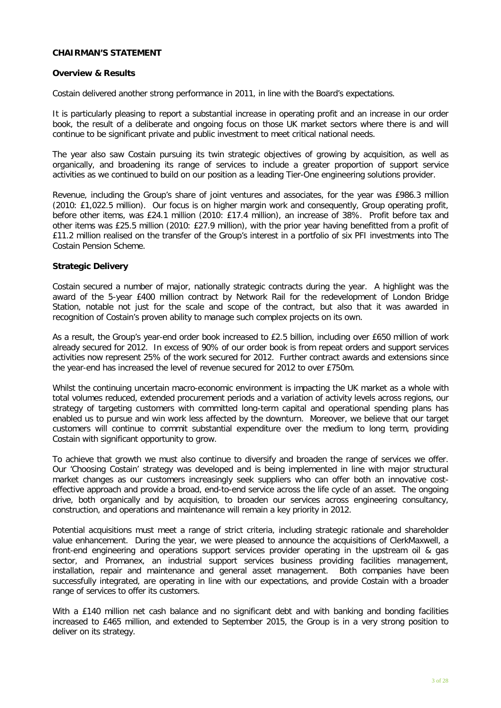#### **CHAIRMAN'S STATEMENT**

#### **Overview & Results**

Costain delivered another strong performance in 2011, in line with the Board's expectations.

It is particularly pleasing to report a substantial increase in operating profit and an increase in our order book, the result of a deliberate and ongoing focus on those UK market sectors where there is and will continue to be significant private and public investment to meet critical national needs.

The year also saw Costain pursuing its twin strategic objectives of growing by acquisition, as well as organically, and broadening its range of services to include a greater proportion of support service activities as we continued to build on our position as a leading Tier-One engineering solutions provider.

Revenue, including the Group's share of joint ventures and associates, for the year was £986.3 million (2010: £1,022.5 million). Our focus is on higher margin work and consequently, Group operating profit, before other items, was £24.1 million (2010: £17.4 million), an increase of 38%. Profit before tax and other items was £25.5 million (2010: £27.9 million), with the prior year having benefitted from a profit of £11.2 million realised on the transfer of the Group's interest in a portfolio of six PFI investments into The Costain Pension Scheme.

#### **Strategic Delivery**

Costain secured a number of major, nationally strategic contracts during the year. A highlight was the award of the 5-year £400 million contract by Network Rail for the redevelopment of London Bridge Station, notable not just for the scale and scope of the contract, but also that it was awarded in recognition of Costain's proven ability to manage such complex projects on its own.

As a result, the Group's year-end order book increased to £2.5 billion, including over £650 million of work already secured for 2012. In excess of 90% of our order book is from repeat orders and support services activities now represent 25% of the work secured for 2012. Further contract awards and extensions since the year-end has increased the level of revenue secured for 2012 to over £750m.

Whilst the continuing uncertain macro-economic environment is impacting the UK market as a whole with total volumes reduced, extended procurement periods and a variation of activity levels across regions, our strategy of targeting customers with committed long-term capital and operational spending plans has enabled us to pursue and win work less affected by the downturn. Moreover, we believe that our target customers will continue to commit substantial expenditure over the medium to long term, providing Costain with significant opportunity to grow.

To achieve that growth we must also continue to diversify and broaden the range of services we offer. Our 'Choosing Costain' strategy was developed and is being implemented in line with major structural market changes as our customers increasingly seek suppliers who can offer both an innovative costeffective approach and provide a broad, end-to-end service across the life cycle of an asset. The ongoing drive, both organically and by acquisition, to broaden our services across engineering consultancy, construction, and operations and maintenance will remain a key priority in 2012.

Potential acquisitions must meet a range of strict criteria, including strategic rationale and shareholder value enhancement. During the year, we were pleased to announce the acquisitions of ClerkMaxwell, a front-end engineering and operations support services provider operating in the upstream oil & gas sector, and Promanex, an industrial support services business providing facilities management, installation, repair and maintenance and general asset management. Both companies have been successfully integrated, are operating in line with our expectations, and provide Costain with a broader range of services to offer its customers.

With a £140 million net cash balance and no significant debt and with banking and bonding facilities increased to £465 million, and extended to September 2015, the Group is in a very strong position to deliver on its strategy.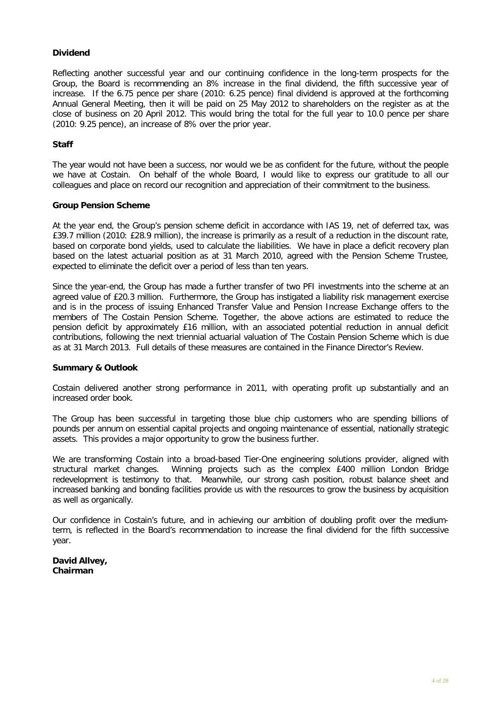# **Dividend**

Reflecting another successful year and our continuing confidence in the long-term prospects for the Group, the Board is recommending an 8% increase in the final dividend, the fifth successive year of increase. If the 6.75 pence per share (2010: 6.25 pence) final dividend is approved at the forthcoming Annual General Meeting, then it will be paid on 25 May 2012 to shareholders on the register as at the close of business on 20 April 2012. This would bring the total for the full year to 10.0 pence per share (2010: 9.25 pence), an increase of 8% over the prior year.

#### **Staff**

The year would not have been a success, nor would we be as confident for the future, without the people we have at Costain. On behalf of the whole Board, I would like to express our gratitude to all our colleagues and place on record our recognition and appreciation of their commitment to the business.

#### **Group Pension Scheme**

At the year end, the Group's pension scheme deficit in accordance with IAS 19, net of deferred tax, was £39.7 million (2010: £28.9 million), the increase is primarily as a result of a reduction in the discount rate, based on corporate bond yields, used to calculate the liabilities. We have in place a deficit recovery plan based on the latest actuarial position as at 31 March 2010, agreed with the Pension Scheme Trustee, expected to eliminate the deficit over a period of less than ten years.

Since the year-end, the Group has made a further transfer of two PFI investments into the scheme at an agreed value of £20.3 million. Furthermore, the Group has instigated a liability risk management exercise and is in the process of issuing Enhanced Transfer Value and Pension Increase Exchange offers to the members of The Costain Pension Scheme. Together, the above actions are estimated to reduce the pension deficit by approximately £16 million, with an associated potential reduction in annual deficit contributions, following the next triennial actuarial valuation of The Costain Pension Scheme which is due as at 31 March 2013. Full details of these measures are contained in the Finance Director's Review.

#### **Summary & Outlook**

Costain delivered another strong performance in 2011, with operating profit up substantially and an increased order book.

The Group has been successful in targeting those blue chip customers who are spending billions of pounds per annum on essential capital projects and ongoing maintenance of essential, nationally strategic assets. This provides a major opportunity to grow the business further.

We are transforming Costain into a broad-based Tier-One engineering solutions provider, aligned with structural market changes. Winning projects such as the complex £400 million London Bridge redevelopment is testimony to that. Meanwhile, our strong cash position, robust balance sheet and increased banking and bonding facilities provide us with the resources to grow the business by acquisition as well as organically.

Our confidence in Costain's future, and in achieving our ambition of doubling profit over the mediumterm, is reflected in the Board's recommendation to increase the final dividend for the fifth successive year.

## **David Allvey, Chairman**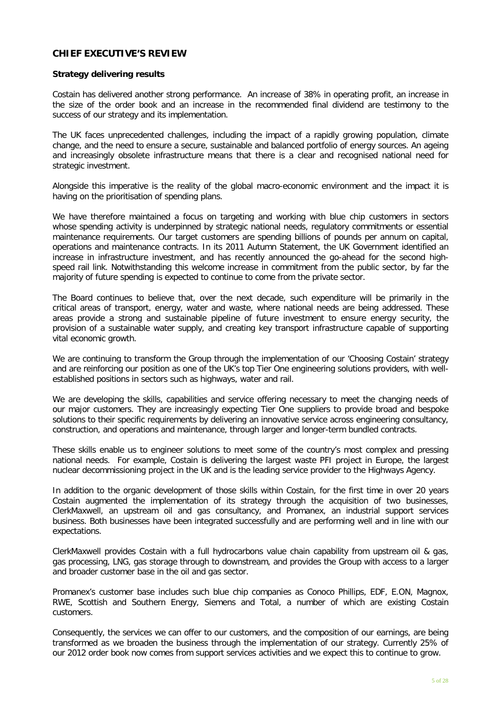# **CHIEF EXECUTIVE'S REVIEW**

#### **Strategy delivering results**

Costain has delivered another strong performance. An increase of 38% in operating profit, an increase in the size of the order book and an increase in the recommended final dividend are testimony to the success of our strategy and its implementation.

The UK faces unprecedented challenges, including the impact of a rapidly growing population, climate change, and the need to ensure a secure, sustainable and balanced portfolio of energy sources. An ageing and increasingly obsolete infrastructure means that there is a clear and recognised national need for strategic investment.

Alongside this imperative is the reality of the global macro-economic environment and the impact it is having on the prioritisation of spending plans.

We have therefore maintained a focus on targeting and working with blue chip customers in sectors whose spending activity is underpinned by strategic national needs, regulatory commitments or essential maintenance requirements. Our target customers are spending billions of pounds per annum on capital, operations and maintenance contracts. In its 2011 Autumn Statement, the UK Government identified an increase in infrastructure investment, and has recently announced the go-ahead for the second highspeed rail link. Notwithstanding this welcome increase in commitment from the public sector, by far the majority of future spending is expected to continue to come from the private sector.

The Board continues to believe that, over the next decade, such expenditure will be primarily in the critical areas of transport, energy, water and waste, where national needs are being addressed. These areas provide a strong and sustainable pipeline of future investment to ensure energy security, the provision of a sustainable water supply, and creating key transport infrastructure capable of supporting vital economic growth.

We are continuing to transform the Group through the implementation of our 'Choosing Costain' strategy and are reinforcing our position as one of the UK's top Tier One engineering solutions providers, with wellestablished positions in sectors such as highways, water and rail.

We are developing the skills, capabilities and service offering necessary to meet the changing needs of our major customers. They are increasingly expecting Tier One suppliers to provide broad and bespoke solutions to their specific requirements by delivering an innovative service across engineering consultancy, construction, and operations and maintenance, through larger and longer-term bundled contracts.

These skills enable us to engineer solutions to meet some of the country's most complex and pressing national needs. For example, Costain is delivering the largest waste PFI project in Europe, the largest nuclear decommissioning project in the UK and is the leading service provider to the Highways Agency.

In addition to the organic development of those skills within Costain, for the first time in over 20 years Costain augmented the implementation of its strategy through the acquisition of two businesses, ClerkMaxwell, an upstream oil and gas consultancy, and Promanex, an industrial support services business. Both businesses have been integrated successfully and are performing well and in line with our expectations.

ClerkMaxwell provides Costain with a full hydrocarbons value chain capability from upstream oil & gas, gas processing, LNG, gas storage through to downstream, and provides the Group with access to a larger and broader customer base in the oil and gas sector.

Promanex's customer base includes such blue chip companies as Conoco Phillips, EDF, E.ON, Magnox, RWE, Scottish and Southern Energy, Siemens and Total, a number of which are existing Costain customers.

Consequently, the services we can offer to our customers, and the composition of our earnings, are being transformed as we broaden the business through the implementation of our strategy. Currently 25% of our 2012 order book now comes from support services activities and we expect this to continue to grow.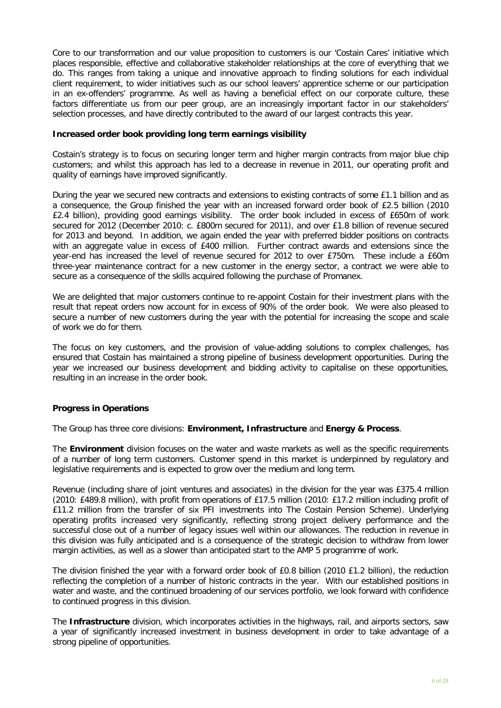Core to our transformation and our value proposition to customers is our 'Costain Cares' initiative which places responsible, effective and collaborative stakeholder relationships at the core of everything that we do. This ranges from taking a unique and innovative approach to finding solutions for each individual client requirement, to wider initiatives such as our school leavers' apprentice scheme or our participation in an ex-offenders' programme. As well as having a beneficial effect on our corporate culture, these factors differentiate us from our peer group, are an increasingly important factor in our stakeholders' selection processes, and have directly contributed to the award of our largest contracts this year.

#### **Increased order book providing long term earnings visibility**

Costain's strategy is to focus on securing longer term and higher margin contracts from major blue chip customers; and whilst this approach has led to a decrease in revenue in 2011, our operating profit and quality of earnings have improved significantly.

During the year we secured new contracts and extensions to existing contracts of some £1.1 billion and as a consequence, the Group finished the year with an increased forward order book of £2.5 billion (2010 £2.4 billion), providing good earnings visibility. The order book included in excess of £650m of work secured for 2012 (December 2010: c. £800m secured for 2011), and over £1.8 billion of revenue secured for 2013 and beyond. In addition, we again ended the year with preferred bidder positions on contracts with an aggregate value in excess of £400 million. Further contract awards and extensions since the year-end has increased the level of revenue secured for 2012 to over £750m. These include a £60m three-year maintenance contract for a new customer in the energy sector, a contract we were able to secure as a consequence of the skills acquired following the purchase of Promanex.

We are delighted that major customers continue to re-appoint Costain for their investment plans with the result that repeat orders now account for in excess of 90% of the order book. We were also pleased to secure a number of new customers during the year with the potential for increasing the scope and scale of work we do for them.

The focus on key customers, and the provision of value-adding solutions to complex challenges, has ensured that Costain has maintained a strong pipeline of business development opportunities. During the year we increased our business development and bidding activity to capitalise on these opportunities, resulting in an increase in the order book.

## **Progress in Operations**

The Group has three core divisions: **Environment, Infrastructure** and **Energy & Process**.

The **Environment** division focuses on the water and waste markets as well as the specific requirements of a number of long term customers. Customer spend in this market is underpinned by regulatory and legislative requirements and is expected to grow over the medium and long term.

Revenue (including share of joint ventures and associates) in the division for the year was £375.4 million (2010: £489.8 million), with profit from operations of £17.5 million (2010: £17.2 million including profit of £11.2 million from the transfer of six PFI investments into The Costain Pension Scheme). Underlying operating profits increased very significantly, reflecting strong project delivery performance and the successful close out of a number of legacy issues well within our allowances. The reduction in revenue in this division was fully anticipated and is a consequence of the strategic decision to withdraw from lower margin activities, as well as a slower than anticipated start to the AMP 5 programme of work.

The division finished the year with a forward order book of £0.8 billion (2010 £1.2 billion), the reduction reflecting the completion of a number of historic contracts in the year. With our established positions in water and waste, and the continued broadening of our services portfolio, we look forward with confidence to continued progress in this division.

The **Infrastructure** division, which incorporates activities in the highways, rail, and airports sectors, saw a year of significantly increased investment in business development in order to take advantage of a strong pipeline of opportunities.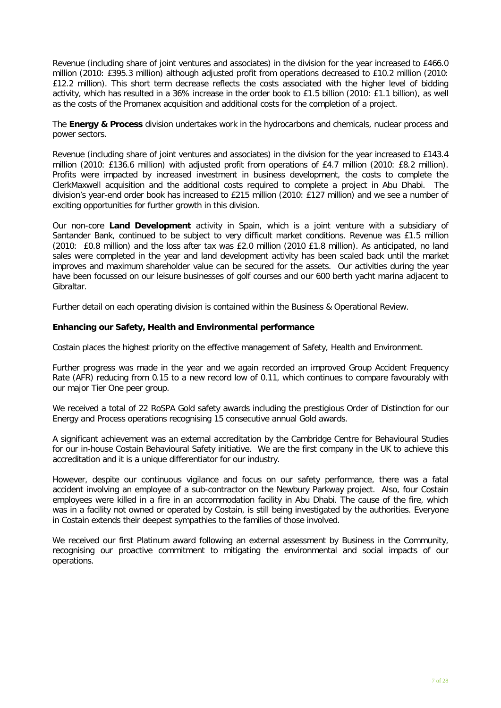Revenue (including share of joint ventures and associates) in the division for the year increased to £466.0 million (2010: £395.3 million) although adjusted profit from operations decreased to £10.2 million (2010: £12.2 million). This short term decrease reflects the costs associated with the higher level of bidding activity, which has resulted in a 36% increase in the order book to £1.5 billion (2010: £1.1 billion), as well as the costs of the Promanex acquisition and additional costs for the completion of a project.

The **Energy & Process** division undertakes work in the hydrocarbons and chemicals, nuclear process and power sectors.

Revenue (including share of joint ventures and associates) in the division for the year increased to £143.4 million (2010: £136.6 million) with adjusted profit from operations of £4.7 million (2010: £8.2 million). Profits were impacted by increased investment in business development, the costs to complete the ClerkMaxwell acquisition and the additional costs required to complete a project in Abu Dhabi. The division's year-end order book has increased to £215 million (2010: £127 million) and we see a number of exciting opportunities for further growth in this division.

Our non-core **Land Development** activity in Spain, which is a joint venture with a subsidiary of Santander Bank, continued to be subject to very difficult market conditions. Revenue was £1.5 million (2010: £0.8 million) and the loss after tax was £2.0 million (2010 £1.8 million). As anticipated, no land sales were completed in the year and land development activity has been scaled back until the market improves and maximum shareholder value can be secured for the assets. Our activities during the year have been focussed on our leisure businesses of golf courses and our 600 berth yacht marina adjacent to Gibraltar.

Further detail on each operating division is contained within the Business & Operational Review.

## **Enhancing our Safety, Health and Environmental performance**

Costain places the highest priority on the effective management of Safety, Health and Environment.

Further progress was made in the year and we again recorded an improved Group Accident Frequency Rate (AFR) reducing from 0.15 to a new record low of 0.11, which continues to compare favourably with our major Tier One peer group.

We received a total of 22 RoSPA Gold safety awards including the prestigious Order of Distinction for our Energy and Process operations recognising 15 consecutive annual Gold awards.

A significant achievement was an external accreditation by the Cambridge Centre for Behavioural Studies for our in-house Costain Behavioural Safety initiative. We are the first company in the UK to achieve this accreditation and it is a unique differentiator for our industry.

However, despite our continuous vigilance and focus on our safety performance, there was a fatal accident involving an employee of a sub-contractor on the Newbury Parkway project. Also, four Costain employees were killed in a fire in an accommodation facility in Abu Dhabi. The cause of the fire, which was in a facility not owned or operated by Costain, is still being investigated by the authorities. Everyone in Costain extends their deepest sympathies to the families of those involved.

We received our first Platinum award following an external assessment by Business in the Community, recognising our proactive commitment to mitigating the environmental and social impacts of our operations.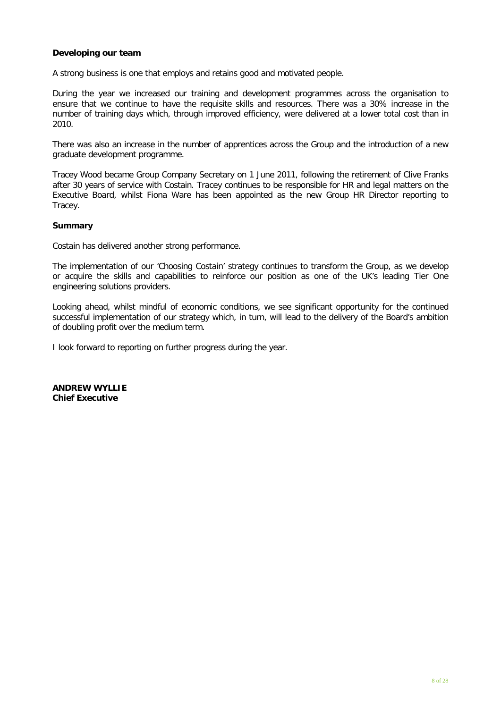## **Developing our team**

A strong business is one that employs and retains good and motivated people.

During the year we increased our training and development programmes across the organisation to ensure that we continue to have the requisite skills and resources. There was a 30% increase in the number of training days which, through improved efficiency, were delivered at a lower total cost than in 2010.

There was also an increase in the number of apprentices across the Group and the introduction of a new graduate development programme.

Tracey Wood became Group Company Secretary on 1 June 2011, following the retirement of Clive Franks after 30 years of service with Costain. Tracey continues to be responsible for HR and legal matters on the Executive Board, whilst Fiona Ware has been appointed as the new Group HR Director reporting to Tracey.

#### **Summary**

Costain has delivered another strong performance.

The implementation of our 'Choosing Costain' strategy continues to transform the Group, as we develop or acquire the skills and capabilities to reinforce our position as one of the UK's leading Tier One engineering solutions providers.

Looking ahead, whilst mindful of economic conditions, we see significant opportunity for the continued successful implementation of our strategy which, in turn, will lead to the delivery of the Board's ambition of doubling profit over the medium term.

I look forward to reporting on further progress during the year.

**ANDREW WYLLIE Chief Executive**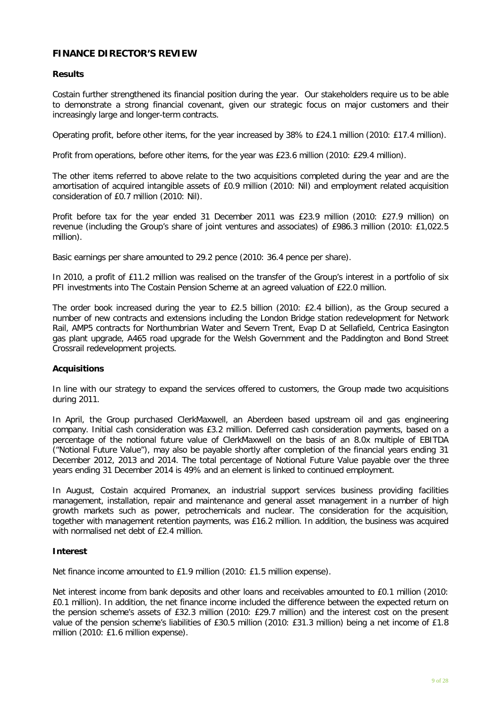# **FINANCE DIRECTOR'S REVIEW**

#### **Results**

Costain further strengthened its financial position during the year. Our stakeholders require us to be able to demonstrate a strong financial covenant, given our strategic focus on major customers and their increasingly large and longer-term contracts.

Operating profit, before other items, for the year increased by 38% to £24.1 million (2010: £17.4 million).

Profit from operations, before other items, for the year was £23.6 million (2010: £29.4 million).

The other items referred to above relate to the two acquisitions completed during the year and are the amortisation of acquired intangible assets of £0.9 million (2010: Nil) and employment related acquisition consideration of £0.7 million (2010: Nil).

Profit before tax for the year ended 31 December 2011 was £23.9 million (2010: £27.9 million) on revenue (including the Group's share of joint ventures and associates) of £986.3 million (2010: £1,022.5 million).

Basic earnings per share amounted to 29.2 pence (2010: 36.4 pence per share).

In 2010, a profit of £11.2 million was realised on the transfer of the Group's interest in a portfolio of six PFI investments into The Costain Pension Scheme at an agreed valuation of £22.0 million.

The order book increased during the year to £2.5 billion (2010: £2.4 billion), as the Group secured a number of new contracts and extensions including the London Bridge station redevelopment for Network Rail, AMP5 contracts for Northumbrian Water and Severn Trent, Evap D at Sellafield, Centrica Easington gas plant upgrade, A465 road upgrade for the Welsh Government and the Paddington and Bond Street Crossrail redevelopment projects.

## **Acquisitions**

In line with our strategy to expand the services offered to customers, the Group made two acquisitions during 2011.

In April, the Group purchased ClerkMaxwell, an Aberdeen based upstream oil and gas engineering company. Initial cash consideration was £3.2 million. Deferred cash consideration payments, based on a percentage of the notional future value of ClerkMaxwell on the basis of an 8.0x multiple of EBITDA ("Notional Future Value"), may also be payable shortly after completion of the financial years ending 31 December 2012, 2013 and 2014. The total percentage of Notional Future Value payable over the three years ending 31 December 2014 is 49% and an element is linked to continued employment.

In August, Costain acquired Promanex, an industrial support services business providing facilities management, installation, repair and maintenance and general asset management in a number of high growth markets such as power, petrochemicals and nuclear. The consideration for the acquisition, together with management retention payments, was £16.2 million. In addition, the business was acquired with normalised net debt of £2.4 million.

#### **Interest**

Net finance income amounted to £1.9 million (2010: £1.5 million expense).

Net interest income from bank deposits and other loans and receivables amounted to £0.1 million (2010: £0.1 million). In addition, the net finance income included the difference between the expected return on the pension scheme's assets of £32.3 million (2010: £29.7 million) and the interest cost on the present value of the pension scheme's liabilities of £30.5 million (2010: £31.3 million) being a net income of £1.8 million (2010: £1.6 million expense).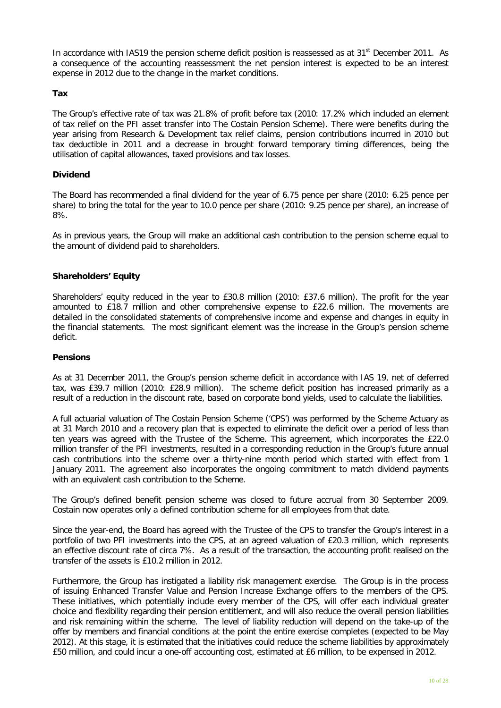In accordance with IAS19 the pension scheme deficit position is reassessed as at  $31<sup>st</sup>$  December 2011. As a consequence of the accounting reassessment the net pension interest is expected to be an interest expense in 2012 due to the change in the market conditions.

#### **Tax**

The Group's effective rate of tax was 21.8% of profit before tax (2010: 17.2% which included an element of tax relief on the PFI asset transfer into The Costain Pension Scheme). There were benefits during the year arising from Research & Development tax relief claims, pension contributions incurred in 2010 but tax deductible in 2011 and a decrease in brought forward temporary timing differences, being the utilisation of capital allowances, taxed provisions and tax losses.

# **Dividend**

The Board has recommended a final dividend for the year of 6.75 pence per share (2010: 6.25 pence per share) to bring the total for the year to 10.0 pence per share (2010: 9.25 pence per share), an increase of 8%.

As in previous years, the Group will make an additional cash contribution to the pension scheme equal to the amount of dividend paid to shareholders.

# **Shareholders' Equity**

Shareholders' equity reduced in the year to £30.8 million (2010: £37.6 million). The profit for the year amounted to £18.7 million and other comprehensive expense to £22.6 million. The movements are detailed in the consolidated statements of comprehensive income and expense and changes in equity in the financial statements. The most significant element was the increase in the Group's pension scheme deficit.

## **Pensions**

As at 31 December 2011, the Group's pension scheme deficit in accordance with IAS 19, net of deferred tax, was £39.7 million (2010: £28.9 million). The scheme deficit position has increased primarily as a result of a reduction in the discount rate, based on corporate bond yields, used to calculate the liabilities.

A full actuarial valuation of The Costain Pension Scheme ('CPS') was performed by the Scheme Actuary as at 31 March 2010 and a recovery plan that is expected to eliminate the deficit over a period of less than ten years was agreed with the Trustee of the Scheme. This agreement, which incorporates the £22.0 million transfer of the PFI investments, resulted in a corresponding reduction in the Group's future annual cash contributions into the scheme over a thirty-nine month period which started with effect from 1 January 2011. The agreement also incorporates the ongoing commitment to match dividend payments with an equivalent cash contribution to the Scheme.

The Group's defined benefit pension scheme was closed to future accrual from 30 September 2009. Costain now operates only a defined contribution scheme for all employees from that date.

Since the year-end, the Board has agreed with the Trustee of the CPS to transfer the Group's interest in a portfolio of two PFI investments into the CPS, at an agreed valuation of £20.3 million, which represents an effective discount rate of circa 7%. As a result of the transaction, the accounting profit realised on the transfer of the assets is £10.2 million in 2012.

Furthermore, the Group has instigated a liability risk management exercise. The Group is in the process of issuing Enhanced Transfer Value and Pension Increase Exchange offers to the members of the CPS. These initiatives, which potentially include every member of the CPS, will offer each individual greater choice and flexibility regarding their pension entitlement, and will also reduce the overall pension liabilities and risk remaining within the scheme. The level of liability reduction will depend on the take-up of the offer by members and financial conditions at the point the entire exercise completes (expected to be May 2012). At this stage, it is estimated that the initiatives could reduce the scheme liabilities by approximately £50 million, and could incur a one-off accounting cost, estimated at £6 million, to be expensed in 2012.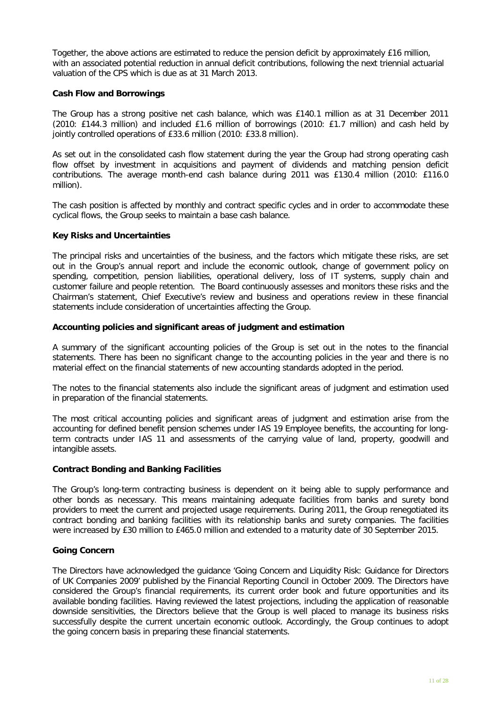Together, the above actions are estimated to reduce the pension deficit by approximately £16 million, with an associated potential reduction in annual deficit contributions, following the next triennial actuarial valuation of the CPS which is due as at 31 March 2013.

#### **Cash Flow and Borrowings**

The Group has a strong positive net cash balance, which was £140.1 million as at 31 December 2011 (2010: £144.3 million) and included £1.6 million of borrowings (2010: £1.7 million) and cash held by jointly controlled operations of £33.6 million (2010: £33.8 million).

As set out in the consolidated cash flow statement during the year the Group had strong operating cash flow offset by investment in acquisitions and payment of dividends and matching pension deficit contributions. The average month-end cash balance during 2011 was £130.4 million (2010: £116.0 million).

The cash position is affected by monthly and contract specific cycles and in order to accommodate these cyclical flows, the Group seeks to maintain a base cash balance.

#### **Key Risks and Uncertainties**

The principal risks and uncertainties of the business, and the factors which mitigate these risks, are set out in the Group's annual report and include the economic outlook, change of government policy on spending, competition, pension liabilities, operational delivery, loss of IT systems, supply chain and customer failure and people retention. The Board continuously assesses and monitors these risks and the Chairman's statement, Chief Executive's review and business and operations review in these financial statements include consideration of uncertainties affecting the Group.

#### **Accounting policies and significant areas of judgment and estimation**

A summary of the significant accounting policies of the Group is set out in the notes to the financial statements. There has been no significant change to the accounting policies in the year and there is no material effect on the financial statements of new accounting standards adopted in the period.

The notes to the financial statements also include the significant areas of judgment and estimation used in preparation of the financial statements.

The most critical accounting policies and significant areas of judgment and estimation arise from the accounting for defined benefit pension schemes under IAS 19 Employee benefits, the accounting for longterm contracts under IAS 11 and assessments of the carrying value of land, property, goodwill and intangible assets.

#### **Contract Bonding and Banking Facilities**

The Group's long-term contracting business is dependent on it being able to supply performance and other bonds as necessary. This means maintaining adequate facilities from banks and surety bond providers to meet the current and projected usage requirements. During 2011, the Group renegotiated its contract bonding and banking facilities with its relationship banks and surety companies. The facilities were increased by £30 million to £465.0 million and extended to a maturity date of 30 September 2015.

## **Going Concern**

The Directors have acknowledged the guidance 'Going Concern and Liquidity Risk: Guidance for Directors of UK Companies 2009' published by the Financial Reporting Council in October 2009. The Directors have considered the Group's financial requirements, its current order book and future opportunities and its available bonding facilities. Having reviewed the latest projections, including the application of reasonable downside sensitivities, the Directors believe that the Group is well placed to manage its business risks successfully despite the current uncertain economic outlook. Accordingly, the Group continues to adopt the going concern basis in preparing these financial statements.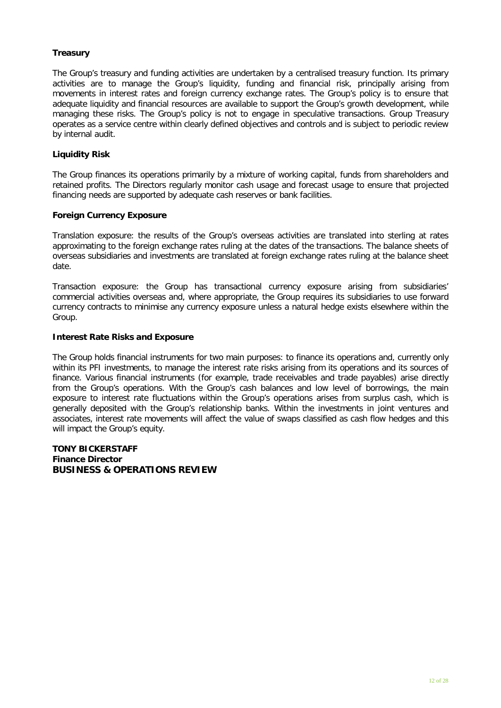# **Treasury**

The Group's treasury and funding activities are undertaken by a centralised treasury function. Its primary activities are to manage the Group's liquidity, funding and financial risk, principally arising from movements in interest rates and foreign currency exchange rates. The Group's policy is to ensure that adequate liquidity and financial resources are available to support the Group's growth development, while managing these risks. The Group's policy is not to engage in speculative transactions. Group Treasury operates as a service centre within clearly defined objectives and controls and is subject to periodic review by internal audit.

# **Liquidity Risk**

The Group finances its operations primarily by a mixture of working capital, funds from shareholders and retained profits. The Directors regularly monitor cash usage and forecast usage to ensure that projected financing needs are supported by adequate cash reserves or bank facilities.

## **Foreign Currency Exposure**

Translation exposure: the results of the Group's overseas activities are translated into sterling at rates approximating to the foreign exchange rates ruling at the dates of the transactions. The balance sheets of overseas subsidiaries and investments are translated at foreign exchange rates ruling at the balance sheet date.

Transaction exposure: the Group has transactional currency exposure arising from subsidiaries' commercial activities overseas and, where appropriate, the Group requires its subsidiaries to use forward currency contracts to minimise any currency exposure unless a natural hedge exists elsewhere within the Group.

## **Interest Rate Risks and Exposure**

The Group holds financial instruments for two main purposes: to finance its operations and, currently only within its PFI investments, to manage the interest rate risks arising from its operations and its sources of finance. Various financial instruments (for example, trade receivables and trade payables) arise directly from the Group's operations. With the Group's cash balances and low level of borrowings, the main exposure to interest rate fluctuations within the Group's operations arises from surplus cash, which is generally deposited with the Group's relationship banks. Within the investments in joint ventures and associates, interest rate movements will affect the value of swaps classified as cash flow hedges and this will impact the Group's equity.

**TONY BICKERSTAFF Finance Director BUSINESS & OPERATIONS REVIEW**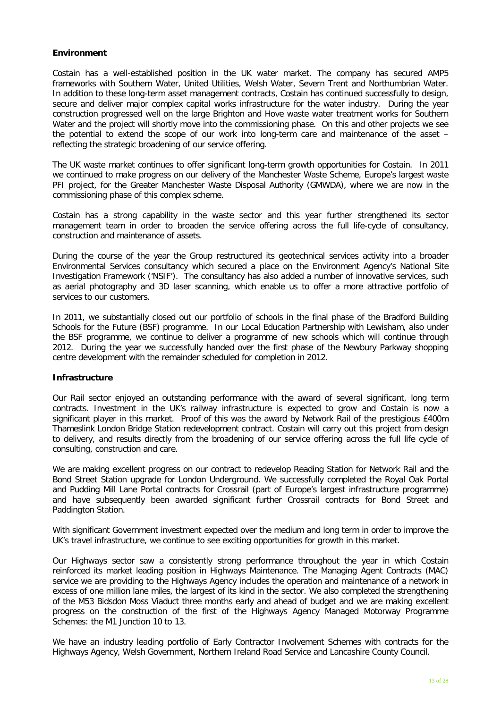## **Environment**

Costain has a well-established position in the UK water market. The company has secured AMP5 frameworks with Southern Water, United Utilities, Welsh Water, Severn Trent and Northumbrian Water. In addition to these long-term asset management contracts, Costain has continued successfully to design, secure and deliver major complex capital works infrastructure for the water industry. During the year construction progressed well on the large Brighton and Hove waste water treatment works for Southern Water and the project will shortly move into the commissioning phase. On this and other projects we see the potential to extend the scope of our work into long-term care and maintenance of the asset – reflecting the strategic broadening of our service offering.

The UK waste market continues to offer significant long-term growth opportunities for Costain. In 2011 we continued to make progress on our delivery of the Manchester Waste Scheme, Europe's largest waste PFI project, for the Greater Manchester Waste Disposal Authority (GMWDA), where we are now in the commissioning phase of this complex scheme.

Costain has a strong capability in the waste sector and this year further strengthened its sector management team in order to broaden the service offering across the full life-cycle of consultancy, construction and maintenance of assets.

During the course of the year the Group restructured its geotechnical services activity into a broader Environmental Services consultancy which secured a place on the Environment Agency's National Site Investigation Framework ('NSIF'). The consultancy has also added a number of innovative services, such as aerial photography and 3D laser scanning, which enable us to offer a more attractive portfolio of services to our customers.

In 2011, we substantially closed out our portfolio of schools in the final phase of the Bradford Building Schools for the Future (BSF) programme. In our Local Education Partnership with Lewisham, also under the BSF programme, we continue to deliver a programme of new schools which will continue through 2012. During the year we successfully handed over the first phase of the Newbury Parkway shopping centre development with the remainder scheduled for completion in 2012.

## **Infrastructure**

Our Rail sector enjoyed an outstanding performance with the award of several significant, long term contracts. Investment in the UK's railway infrastructure is expected to grow and Costain is now a significant player in this market. Proof of this was the award by Network Rail of the prestigious £400m Thameslink London Bridge Station redevelopment contract. Costain will carry out this project from design to delivery, and results directly from the broadening of our service offering across the full life cycle of consulting, construction and care.

We are making excellent progress on our contract to redevelop Reading Station for Network Rail and the Bond Street Station upgrade for London Underground. We successfully completed the Royal Oak Portal and Pudding Mill Lane Portal contracts for Crossrail (part of Europe's largest infrastructure programme) and have subsequently been awarded significant further Crossrail contracts for Bond Street and Paddington Station.

With significant Government investment expected over the medium and long term in order to improve the UK's travel infrastructure, we continue to see exciting opportunities for growth in this market.

Our Highways sector saw a consistently strong performance throughout the year in which Costain reinforced its market leading position in Highways Maintenance. The Managing Agent Contracts (MAC) service we are providing to the Highways Agency includes the operation and maintenance of a network in excess of one million lane miles, the largest of its kind in the sector. We also completed the strengthening of the M53 Bidsdon Moss Viaduct three months early and ahead of budget and we are making excellent progress on the construction of the first of the Highways Agency Managed Motorway Programme Schemes: the M1 Junction 10 to 13.

We have an industry leading portfolio of Early Contractor Involvement Schemes with contracts for the Highways Agency, Welsh Government, Northern Ireland Road Service and Lancashire County Council.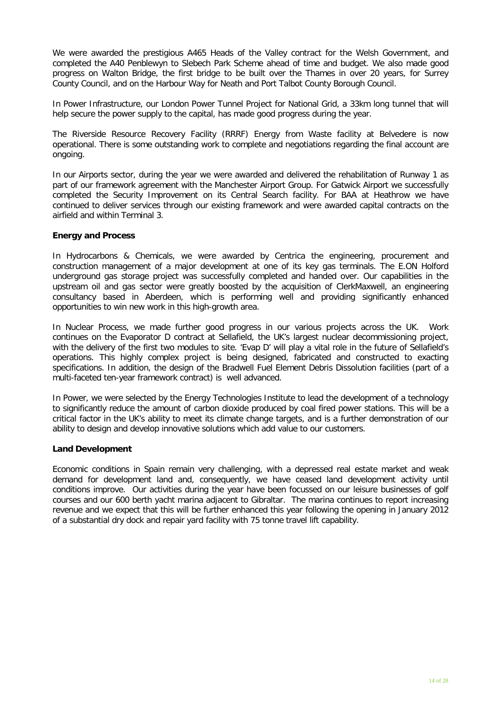We were awarded the prestigious A465 Heads of the Valley contract for the Welsh Government, and completed the A40 Penblewyn to Slebech Park Scheme ahead of time and budget. We also made good progress on Walton Bridge, the first bridge to be built over the Thames in over 20 years, for Surrey County Council, and on the Harbour Way for Neath and Port Talbot County Borough Council.

In Power Infrastructure, our London Power Tunnel Project for National Grid, a 33km long tunnel that will help secure the power supply to the capital, has made good progress during the year.

The Riverside Resource Recovery Facility (RRRF) Energy from Waste facility at Belvedere is now operational. There is some outstanding work to complete and negotiations regarding the final account are ongoing.

In our Airports sector, during the year we were awarded and delivered the rehabilitation of Runway 1 as part of our framework agreement with the Manchester Airport Group. For Gatwick Airport we successfully completed the Security Improvement on its Central Search facility. For BAA at Heathrow we have continued to deliver services through our existing framework and were awarded capital contracts on the airfield and within Terminal 3.

#### **Energy and Process**

In Hydrocarbons & Chemicals, we were awarded by Centrica the engineering, procurement and construction management of a major development at one of its key gas terminals. The E.ON Holford underground gas storage project was successfully completed and handed over. Our capabilities in the upstream oil and gas sector were greatly boosted by the acquisition of ClerkMaxwell, an engineering consultancy based in Aberdeen, which is performing well and providing significantly enhanced opportunities to win new work in this high-growth area.

In Nuclear Process, we made further good progress in our various projects across the UK. Work continues on the Evaporator D contract at Sellafield, the UK's largest nuclear decommissioning project, with the delivery of the first two modules to site. 'Evap D' will play a vital role in the future of Sellafield's operations. This highly complex project is being designed, fabricated and constructed to exacting specifications. In addition, the design of the Bradwell Fuel Element Debris Dissolution facilities (part of a multi-faceted ten-year framework contract) is well advanced.

In Power, we were selected by the Energy Technologies Institute to lead the development of a technology to significantly reduce the amount of carbon dioxide produced by coal fired power stations. This will be a critical factor in the UK's ability to meet its climate change targets, and is a further demonstration of our ability to design and develop innovative solutions which add value to our customers.

## **Land Development**

Economic conditions in Spain remain very challenging, with a depressed real estate market and weak demand for development land and, consequently, we have ceased land development activity until conditions improve. Our activities during the year have been focussed on our leisure businesses of golf courses and our 600 berth yacht marina adjacent to Gibraltar. The marina continues to report increasing revenue and we expect that this will be further enhanced this year following the opening in January 2012 of a substantial dry dock and repair yard facility with 75 tonne travel lift capability.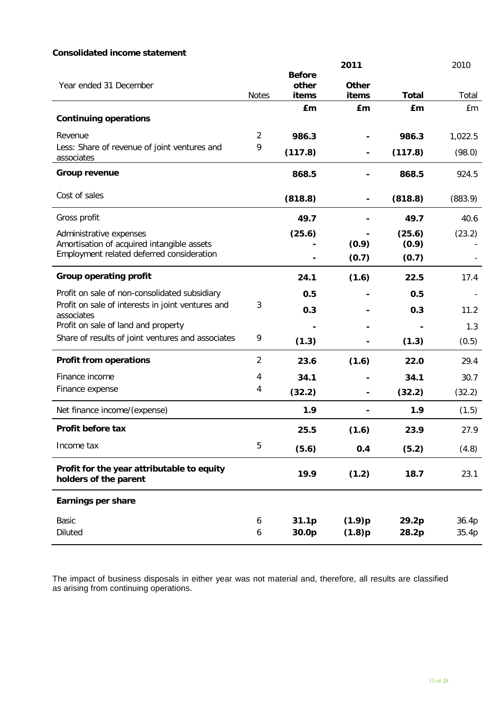# **Consolidated income statement**

|                                                                                         |                |                        | 2011         |              | 2010    |
|-----------------------------------------------------------------------------------------|----------------|------------------------|--------------|--------------|---------|
| Year ended 31 December                                                                  |                | <b>Before</b><br>other | <b>Other</b> |              |         |
|                                                                                         | <b>Notes</b>   | items                  | items        | <b>Total</b> | Total   |
|                                                                                         |                | £m                     | £m           | £m           | £m      |
| <b>Continuing operations</b>                                                            |                |                        |              |              |         |
| Revenue                                                                                 | $\overline{2}$ | 986.3                  |              | 986.3        | 1,022.5 |
| Less: Share of revenue of joint ventures and<br>associates                              | 9              | (117.8)                |              | (117.8)      | (98.0)  |
| <b>Group revenue</b>                                                                    |                | 868.5                  |              | 868.5        | 924.5   |
| Cost of sales                                                                           |                | (818.8)                |              | (818.8)      | (883.9) |
| Gross profit                                                                            |                | 49.7                   |              | 49.7         | 40.6    |
| Administrative expenses                                                                 |                | (25.6)                 |              | (25.6)       | (23.2)  |
| Amortisation of acquired intangible assets<br>Employment related deferred consideration |                |                        | (0.9)        | (0.9)        |         |
|                                                                                         |                |                        | (0.7)        | (0.7)        |         |
| <b>Group operating profit</b>                                                           |                | 24.1                   | (1.6)        | 22.5         | 17.4    |
| Profit on sale of non-consolidated subsidiary                                           |                | 0.5                    |              | 0.5          |         |
| Profit on sale of interests in joint ventures and<br>associates                         | 3              | 0.3                    |              | 0.3          | 11.2    |
| Profit on sale of land and property                                                     |                |                        |              |              | 1.3     |
| Share of results of joint ventures and associates                                       | 9              | (1.3)                  |              | (1.3)        | (0.5)   |
| <b>Profit from operations</b>                                                           | $\overline{2}$ | 23.6                   | (1.6)        | 22.0         | 29.4    |
| Finance income                                                                          | 4              | 34.1                   |              | 34.1         | 30.7    |
| Finance expense                                                                         | 4              | (32.2)                 |              | (32.2)       | (32.2)  |
| Net finance income/(expense)                                                            |                | 1.9                    |              | 1.9          | (1.5)   |
| Profit before tax                                                                       |                | 25.5                   | (1.6)        | 23.9         | 27.9    |
| Income tax                                                                              | 5              | (5.6)                  | 0.4          | (5.2)        | (4.8)   |
| Profit for the year attributable to equity<br>holders of the parent                     |                | 19.9                   | (1.2)        | 18.7         | 23.1    |
| <b>Earnings per share</b>                                                               |                |                        |              |              |         |
| Basic                                                                                   | 6              | 31.1p                  | (1.9)p       | 29.2p        | 36.4p   |
| <b>Diluted</b>                                                                          | 6              | 30.0p                  | (1.8)p       | 28.2p        | 35.4p   |

The impact of business disposals in either year was not material and, therefore, all results are classified as arising from continuing operations.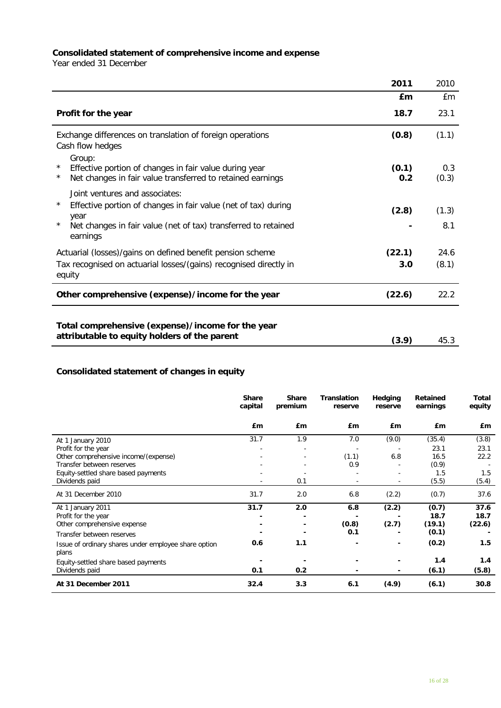#### **Consolidated statement of comprehensive income and expense**

Year ended 31 December

|                                                                                                                                                                                                              | 2011          | 2010          |
|--------------------------------------------------------------------------------------------------------------------------------------------------------------------------------------------------------------|---------------|---------------|
|                                                                                                                                                                                                              | £m            | £m            |
| Profit for the year                                                                                                                                                                                          | 18.7          | 23.1          |
| Exchange differences on translation of foreign operations<br>Cash flow hedges                                                                                                                                | (0.8)         | (1.1)         |
| Group:<br>$\star$<br>Effective portion of changes in fair value during year<br>Net changes in fair value transferred to retained earnings<br>$^\star$                                                        | (0.1)<br>0.2  | 0.3<br>(0.3)  |
| Joint ventures and associates:<br>$\star$<br>Effective portion of changes in fair value (net of tax) during<br>year<br>$\star$<br>Net changes in fair value (net of tax) transferred to retained<br>earnings | (2.8)         | (1.3)<br>8.1  |
| Actuarial (losses)/gains on defined benefit pension scheme<br>Tax recognised on actuarial losses/(gains) recognised directly in<br>equity                                                                    | (22.1)<br>3.0 | 24.6<br>(8.1) |
| Other comprehensive (expense)/income for the year                                                                                                                                                            | (22.6)        | 22.2          |
| Total comprehensive (expense)/income for the year<br>attributable to equity holders of the parent                                                                                                            | (3.9)         | 45.3          |

# **Consolidated statement of changes in equity**

|                                                      | <b>Share</b><br>capital | <b>Share</b><br>premium | <b>Translation</b><br>reserve | Hedging<br>reserve | <b>Retained</b><br>earnings | Total<br>equity |
|------------------------------------------------------|-------------------------|-------------------------|-------------------------------|--------------------|-----------------------------|-----------------|
|                                                      | £m                      | £ <sub>m</sub>          | £m                            | £ <sub>m</sub>     | £m                          | £m              |
| At 1 January 2010                                    | 31.7                    | 1.9                     | 7.0                           | (9.0)              | (35.4)                      | (3.8)           |
| Profit for the year                                  |                         |                         |                               |                    | 23.1                        | 23.1            |
| Other comprehensive income/(expense)                 |                         |                         | (1.1)                         | 6.8                | 16.5                        | 22.2            |
| Transfer between reserves                            |                         |                         | 0.9                           |                    | (0.9)                       |                 |
| Equity-settled share based payments                  |                         |                         |                               |                    | 1.5                         | 1.5             |
| Dividends paid                                       |                         | 0.1                     |                               |                    | (5.5)                       | (5.4)           |
| At 31 December 2010                                  | 31.7                    | 2.0                     | 6.8                           | (2.2)              | (0.7)                       | 37.6            |
| At 1 January 2011                                    | 31.7                    | 2.0                     | 6.8                           | (2.2)              | (0.7)                       | 37.6            |
| Profit for the year                                  |                         |                         |                               |                    | 18.7                        | 18.7            |
| Other comprehensive expense                          |                         |                         | (0.8)                         | (2.7)              | (19.1)                      | (22.6)          |
| Transfer between reserves                            |                         |                         | 0.1                           |                    | (0.1)                       |                 |
| Issue of ordinary shares under employee share option | 0.6                     | 1.1                     | ۰                             | ۰                  | (0.2)                       | 1.5             |
| plans                                                |                         |                         |                               |                    |                             |                 |
| Equity-settled share based payments                  |                         |                         |                               |                    | 1.4                         | 1.4             |
| Dividends paid                                       | 0.1                     | 0.2                     |                               |                    | (6.1)                       | (5.8)           |
| At 31 December 2011                                  | 32.4                    | 3.3                     | 6.1                           | (4.9)              | (6.1)                       | 30.8            |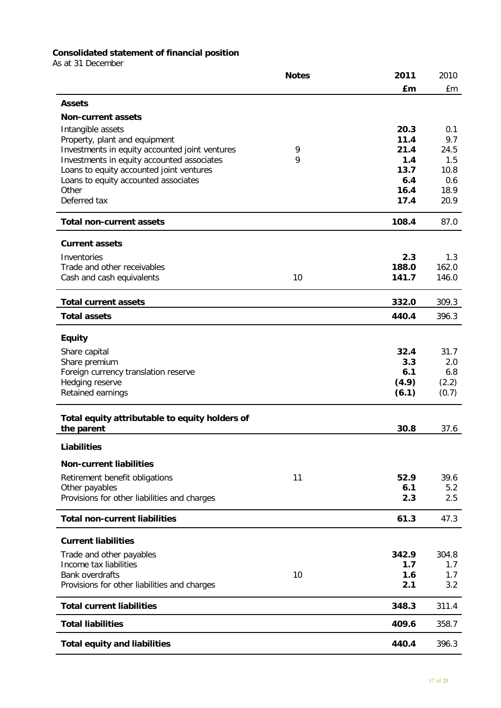# **Consolidated statement of financial position**

As at 31 December

|                                                              | <b>Notes</b> | 2011        | 2010        |
|--------------------------------------------------------------|--------------|-------------|-------------|
|                                                              |              | £m          | £m          |
| <b>Assets</b>                                                |              |             |             |
| <b>Non-current assets</b>                                    |              |             |             |
| Intangible assets                                            |              | 20.3        | 0.1         |
| Property, plant and equipment                                |              | 11.4        | 9.7         |
| Investments in equity accounted joint ventures               | 9            | 21.4        | 24.5        |
| Investments in equity accounted associates                   | 9            | 1.4         | 1.5         |
| Loans to equity accounted joint ventures                     |              | 13.7<br>6.4 | 10.8<br>0.6 |
| Loans to equity accounted associates<br>Other                |              | 16.4        | 18.9        |
| Deferred tax                                                 |              | 17.4        | 20.9        |
|                                                              |              |             |             |
| <b>Total non-current assets</b>                              |              | 108.4       | 87.0        |
| <b>Current assets</b>                                        |              |             |             |
| Inventories                                                  |              | 2.3         | 1.3         |
| Trade and other receivables                                  |              | 188.0       | 162.0       |
| Cash and cash equivalents                                    | 10           | 141.7       | 146.0       |
| <b>Total current assets</b>                                  |              | 332.0       | 309.3       |
| <b>Total assets</b>                                          |              | 440.4       | 396.3       |
|                                                              |              |             |             |
| <b>Equity</b>                                                |              |             |             |
| Share capital                                                |              | 32.4        | 31.7        |
| Share premium<br>Foreign currency translation reserve        |              | 3.3<br>6.1  | 2.0<br>6.8  |
| Hedging reserve                                              |              | (4.9)       | (2.2)       |
| Retained earnings                                            |              | (6.1)       | (0.7)       |
|                                                              |              |             |             |
| Total equity attributable to equity holders of<br>the parent |              | 30.8        | 37.6        |
| <b>Liabilities</b>                                           |              |             |             |
| <b>Non-current liabilities</b>                               |              |             |             |
| Retirement benefit obligations                               | 11           | 52.9        | 39.6        |
| Other payables                                               |              | 6.1         | 5.2         |
| Provisions for other liabilities and charges                 |              | 2.3         | 2.5         |
| <b>Total non-current liabilities</b>                         |              | 61.3        | 47.3        |
| <b>Current liabilities</b>                                   |              |             |             |
|                                                              |              | 342.9       | 304.8       |
| Trade and other payables<br>Income tax liabilities           |              | 1.7         | 1.7         |
| <b>Bank overdrafts</b>                                       | 10           | 1.6         | 1.7         |
| Provisions for other liabilities and charges                 |              | 2.1         | 3.2         |
| <b>Total current liabilities</b>                             |              | 348.3       | 311.4       |
| <b>Total liabilities</b>                                     |              | 409.6       | 358.7       |
| <b>Total equity and liabilities</b>                          |              | 440.4       | 396.3       |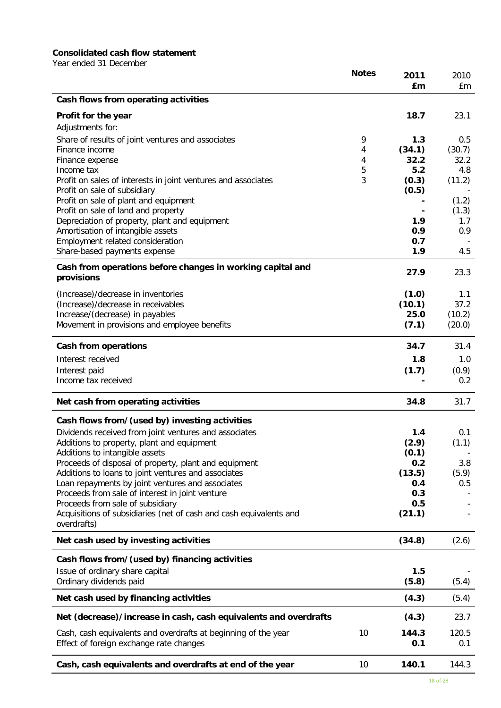# **Consolidated cash flow statement**

Year ended 31 December

|                                                                                                           | <b>Notes</b> | 2011<br>£m   | 2010<br>£m   |
|-----------------------------------------------------------------------------------------------------------|--------------|--------------|--------------|
| Cash flows from operating activities                                                                      |              |              |              |
| Profit for the year                                                                                       |              | 18.7         | 23.1         |
| Adjustments for:                                                                                          |              |              |              |
| Share of results of joint ventures and associates                                                         | 9            | 1.3          | 0.5          |
| Finance income                                                                                            | 4            | (34.1)       | (30.7)       |
| Finance expense                                                                                           | 4            | 32.2         | 32.2         |
| Income tax                                                                                                | 5            | 5.2          | 4.8          |
| Profit on sales of interests in joint ventures and associates                                             | 3            | (0.3)        | (11.2)       |
| Profit on sale of subsidiary                                                                              |              | (0.5)        |              |
| Profit on sale of plant and equipment                                                                     |              |              | (1.2)        |
| Profit on sale of land and property                                                                       |              |              | (1.3)        |
| Depreciation of property, plant and equipment                                                             |              | 1.9          | 1.7          |
| Amortisation of intangible assets                                                                         |              | 0.9          | 0.9          |
| Employment related consideration                                                                          |              | 0.7          |              |
| Share-based payments expense                                                                              |              | 1.9          | 4.5          |
| Cash from operations before changes in working capital and<br>provisions                                  |              | 27.9         | 23.3         |
| (Increase)/decrease in inventories                                                                        |              | (1.0)        | 1.1          |
| (Increase)/decrease in receivables                                                                        |              | (10.1)       | 37.2         |
| Increase/(decrease) in payables                                                                           |              | 25.0         | (10.2)       |
| Movement in provisions and employee benefits                                                              |              | (7.1)        | (20.0)       |
| <b>Cash from operations</b>                                                                               |              | 34.7         | 31.4         |
| Interest received                                                                                         |              | 1.8          | 1.0          |
| Interest paid                                                                                             |              | (1.7)        | (0.9)        |
| Income tax received                                                                                       |              |              | 0.2          |
| Net cash from operating activities                                                                        |              | 34.8         | 31.7         |
| Cash flows from/(used by) investing activities                                                            |              |              |              |
| Dividends received from joint ventures and associates                                                     |              | 1.4          | 0.1          |
| Additions to property, plant and equipment                                                                |              | (2.9)        | (1.1)        |
| Additions to intangible assets                                                                            |              | (0.1)        |              |
| Proceeds of disposal of property, plant and equipment                                                     |              | 0.2          | 3.8          |
| Additions to loans to joint ventures and associates                                                       |              | (13.5)       | (5.9)        |
| Loan repayments by joint ventures and associates                                                          |              | 0.4          | 0.5          |
| Proceeds from sale of interest in joint venture                                                           |              | 0.3          |              |
| Proceeds from sale of subsidiary                                                                          |              | 0.5          |              |
| Acquisitions of subsidiaries (net of cash and cash equivalents and<br>overdrafts)                         |              | (21.1)       |              |
| Net cash used by investing activities                                                                     |              | (34.8)       | (2.6)        |
| Cash flows from/(used by) financing activities                                                            |              |              |              |
| Issue of ordinary share capital                                                                           |              | 1.5          |              |
| Ordinary dividends paid                                                                                   |              | (5.8)        | (5.4)        |
| Net cash used by financing activities                                                                     |              | (4.3)        | (5.4)        |
| Net (decrease)/increase in cash, cash equivalents and overdrafts                                          |              | (4.3)        | 23.7         |
| Cash, cash equivalents and overdrafts at beginning of the year<br>Effect of foreign exchange rate changes | 10           | 144.3<br>0.1 | 120.5<br>0.1 |
| Cash, cash equivalents and overdrafts at end of the year                                                  | 10           | 140.1        | 144.3        |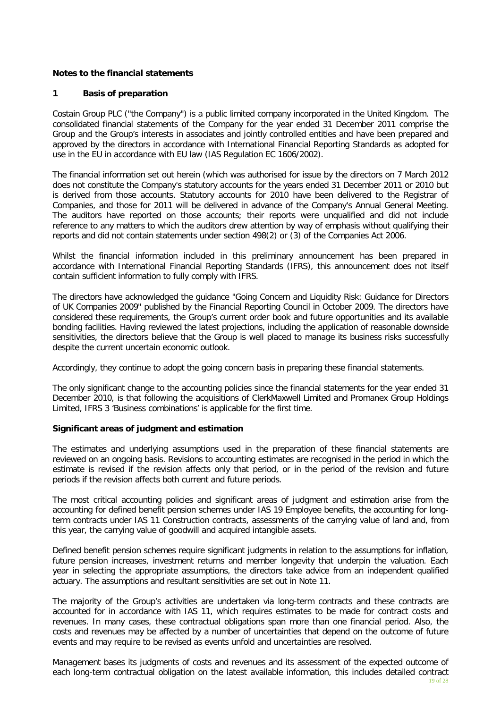## **Notes to the financial statements**

## **1 Basis of preparation**

Costain Group PLC ("the Company") is a public limited company incorporated in the United Kingdom. The consolidated financial statements of the Company for the year ended 31 December 2011 comprise the Group and the Group's interests in associates and jointly controlled entities and have been prepared and approved by the directors in accordance with International Financial Reporting Standards as adopted for use in the EU in accordance with EU law (IAS Regulation EC 1606/2002).

The financial information set out herein (which was authorised for issue by the directors on 7 March 2012 does not constitute the Company's statutory accounts for the years ended 31 December 2011 or 2010 but is derived from those accounts. Statutory accounts for 2010 have been delivered to the Registrar of Companies, and those for 2011 will be delivered in advance of the Company's Annual General Meeting. The auditors have reported on those accounts; their reports were unqualified and did not include reference to any matters to which the auditors drew attention by way of emphasis without qualifying their reports and did not contain statements under section 498(2) or (3) of the Companies Act 2006.

Whilst the financial information included in this preliminary announcement has been prepared in accordance with International Financial Reporting Standards (IFRS), this announcement does not itself contain sufficient information to fully comply with IFRS.

The directors have acknowledged the guidance "Going Concern and Liquidity Risk: Guidance for Directors of UK Companies 2009" published by the Financial Reporting Council in October 2009. The directors have considered these requirements, the Group's current order book and future opportunities and its available bonding facilities. Having reviewed the latest projections, including the application of reasonable downside sensitivities, the directors believe that the Group is well placed to manage its business risks successfully despite the current uncertain economic outlook.

Accordingly, they continue to adopt the going concern basis in preparing these financial statements.

The only significant change to the accounting policies since the financial statements for the year ended 31 December 2010, is that following the acquisitions of ClerkMaxwell Limited and Promanex Group Holdings Limited, IFRS 3 'Business combinations' is applicable for the first time.

## **Significant areas of judgment and estimation**

The estimates and underlying assumptions used in the preparation of these financial statements are reviewed on an ongoing basis. Revisions to accounting estimates are recognised in the period in which the estimate is revised if the revision affects only that period, or in the period of the revision and future periods if the revision affects both current and future periods.

The most critical accounting policies and significant areas of judgment and estimation arise from the accounting for defined benefit pension schemes under IAS 19 Employee benefits, the accounting for longterm contracts under IAS 11 Construction contracts, assessments of the carrying value of land and, from this year, the carrying value of goodwill and acquired intangible assets.

Defined benefit pension schemes require significant judgments in relation to the assumptions for inflation, future pension increases, investment returns and member longevity that underpin the valuation. Each year in selecting the appropriate assumptions, the directors take advice from an independent qualified actuary. The assumptions and resultant sensitivities are set out in Note 11.

The majority of the Group's activities are undertaken via long-term contracts and these contracts are accounted for in accordance with IAS 11, which requires estimates to be made for contract costs and revenues. In many cases, these contractual obligations span more than one financial period. Also, the costs and revenues may be affected by a number of uncertainties that depend on the outcome of future events and may require to be revised as events unfold and uncertainties are resolved.

Management bases its judgments of costs and revenues and its assessment of the expected outcome of each long-term contractual obligation on the latest available information, this includes detailed contract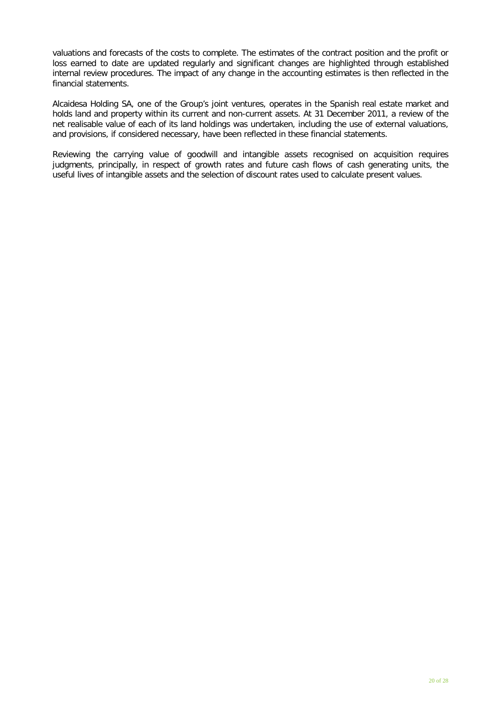valuations and forecasts of the costs to complete. The estimates of the contract position and the profit or loss earned to date are updated regularly and significant changes are highlighted through established internal review procedures. The impact of any change in the accounting estimates is then reflected in the financial statements.

Alcaidesa Holding SA, one of the Group's joint ventures, operates in the Spanish real estate market and holds land and property within its current and non-current assets. At 31 December 2011, a review of the net realisable value of each of its land holdings was undertaken, including the use of external valuations, and provisions, if considered necessary, have been reflected in these financial statements.

Reviewing the carrying value of goodwill and intangible assets recognised on acquisition requires judgments, principally, in respect of growth rates and future cash flows of cash generating units, the useful lives of intangible assets and the selection of discount rates used to calculate present values.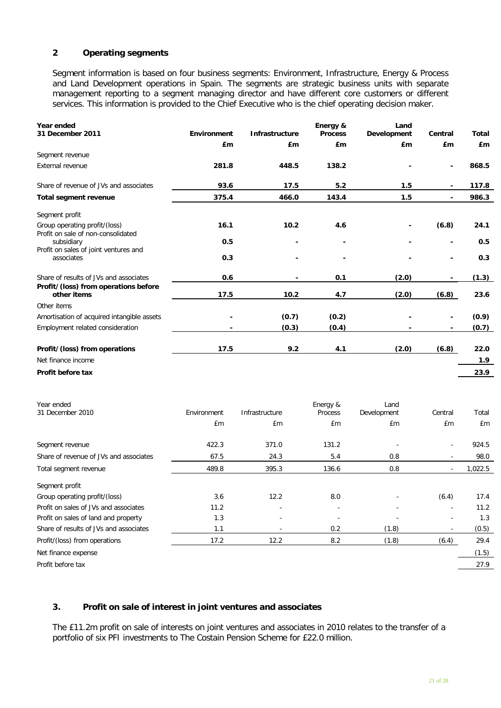# **2 Operating segments**

Segment information is based on four business segments: Environment, Infrastructure, Energy & Process and Land Development operations in Spain. The segments are strategic business units with separate management reporting to a segment managing director and have different core customers or different services. This information is provided to the Chief Executive who is the chief operating decision maker.

| Year ended<br>31 December 2011                                      | <b>Environment</b> | <b>Infrastructure</b> | Energy &<br><b>Process</b> | Land<br>Development       | Central                  | Total       |
|---------------------------------------------------------------------|--------------------|-----------------------|----------------------------|---------------------------|--------------------------|-------------|
|                                                                     | £m                 | £m                    | £m                         | £m                        | £m                       | £m          |
| Segment revenue                                                     |                    |                       |                            |                           |                          |             |
| <b>External revenue</b>                                             | 281.8              | 448.5                 | 138.2                      |                           | -                        | 868.5       |
| Share of revenue of JVs and associates                              | 93.6               | 17.5                  | 5.2                        | 1.5                       |                          | 117.8       |
| <b>Total segment revenue</b>                                        | 375.4              | 466.0                 | 143.4                      | 1.5                       | ٠                        | 986.3       |
| Segment profit                                                      |                    |                       |                            |                           |                          |             |
| Group operating profit/(loss)<br>Profit on sale of non-consolidated | 16.1               | 10.2                  | 4.6                        |                           | (6.8)                    | 24.1        |
| subsidiary                                                          | 0.5                |                       |                            |                           | -                        | 0.5         |
| Profit on sales of joint ventures and<br>associates                 | 0.3                |                       |                            |                           | -                        | 0.3         |
| Share of results of JVs and associates                              | 0.6                |                       | 0.1                        | (2.0)                     | ٠                        | (1.3)       |
| Profit/(loss) from operations before<br>other items                 | 17.5               | 10.2                  | 4.7                        | (2.0)                     | (6.8)                    | 23.6        |
| Other items                                                         |                    |                       |                            |                           |                          |             |
| Amortisation of acquired intangible assets                          |                    | (0.7)                 | (0.2)                      |                           |                          | (0.9)       |
| Employment related consideration                                    |                    | (0.3)                 | (0.4)                      |                           |                          | (0.7)       |
| Profit/(loss) from operations                                       | 17.5               | 9.2                   | 4.1                        | (2.0)                     | (6.8)                    | 22.0        |
| Net finance income                                                  |                    |                       |                            |                           |                          | 1.9         |
| Profit before tax                                                   |                    |                       |                            |                           |                          | 23.9        |
| Year ended<br>31 December 2010                                      | Environment<br>£m  | Infrastructure<br>£m  | Energy &<br>Process<br>£m  | Land<br>Development<br>£m | Central<br>£m            | Total<br>£m |
|                                                                     |                    |                       |                            |                           |                          |             |
| Segment revenue                                                     | 422.3              | 371.0                 | 131.2                      |                           |                          | 924.5       |
| Share of revenue of JVs and associates                              | 67.5               | 24.3                  | 5.4                        | 0.8                       |                          | 98.0        |
| Total segment revenue                                               | 489.8              | 395.3                 | 136.6                      | 0.8                       | $\overline{\phantom{a}}$ | 1,022.5     |
| Segment profit                                                      |                    |                       |                            |                           |                          |             |
| Group operating profit/(loss)                                       | $3.6\,$            | 12.2                  | $8.0\,$                    |                           | (6.4)                    | 17.4        |
| Profit on sales of JVs and associates                               | 11.2               |                       |                            |                           |                          | 11.2        |
| Profit on sales of land and property                                | 1.3                |                       |                            |                           |                          | 1.3         |
| Share of results of JVs and associates                              | 1.1                |                       | $0.2\,$                    | (1.8)                     |                          | (0.5)       |
| Profit/(loss) from operations                                       | 17.2               | 12.2                  | 8.2                        | (1.8)                     | (6.4)                    | 29.4        |
| Net finance expense                                                 |                    |                       |                            |                           |                          | (1.5)       |
| Profit before tax                                                   |                    |                       |                            |                           |                          | 27.9        |

# **3. Profit on sale of interest in joint ventures and associates**

The £11.2m profit on sale of interests on joint ventures and associates in 2010 relates to the transfer of a portfolio of six PFI investments to The Costain Pension Scheme for £22.0 million.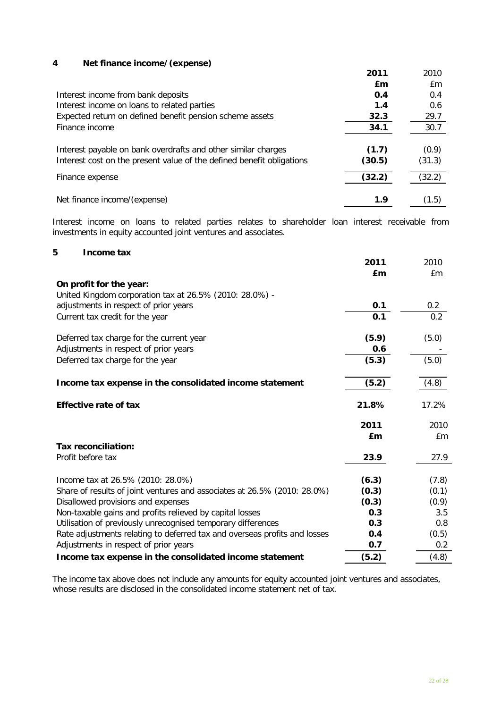# **4 Net finance income/(expense)**

|                                                                                                                                        | 2011            | 2010            |
|----------------------------------------------------------------------------------------------------------------------------------------|-----------------|-----------------|
|                                                                                                                                        | £m              | £m              |
| Interest income from bank deposits                                                                                                     | 0.4             | 0.4             |
| Interest income on loans to related parties                                                                                            | 1.4             | 0.6             |
| Expected return on defined benefit pension scheme assets                                                                               | 32.3            | 29.7            |
| Finance income                                                                                                                         | 34.1            | 30.7            |
| Interest payable on bank overdrafts and other similar charges<br>Interest cost on the present value of the defined benefit obligations | (1.7)<br>(30.5) | (0.9)<br>(31.3) |
| Finance expense                                                                                                                        | (32.2)          | (32.2)          |
| Net finance income/(expense)                                                                                                           | 1.9             | (1.5)           |

Interest income on loans to related parties relates to shareholder loan interest receivable from investments in equity accounted joint ventures and associates.

#### **5 Income tax**

| ווועטוווט נמג                                                             | 2011<br>£m | 2010<br>£m |
|---------------------------------------------------------------------------|------------|------------|
| On profit for the year:                                                   |            |            |
| United Kingdom corporation tax at 26.5% (2010: 28.0%) -                   |            |            |
| adjustments in respect of prior years                                     | 0.1        | 0.2        |
| Current tax credit for the year                                           | 0.1        | 0.2        |
| Deferred tax charge for the current year                                  | (5.9)      | (5.0)      |
| Adjustments in respect of prior years                                     | 0.6        |            |
| Deferred tax charge for the year                                          | (5.3)      | (5.0)      |
| Income tax expense in the consolidated income statement                   | (5.2)      | (4.8)      |
| <b>Effective rate of tax</b>                                              | 21.8%      | 17.2%      |
|                                                                           | 2011       | 2010       |
|                                                                           | £m         | £m         |
| <b>Tax reconciliation:</b>                                                |            |            |
| Profit before tax                                                         | 23.9       | 27.9       |
| Income tax at 26.5% (2010: 28.0%)                                         | (6.3)      | (7.8)      |
| Share of results of joint ventures and associates at 26.5% (2010: 28.0%)  | (0.3)      | (0.1)      |
| Disallowed provisions and expenses                                        | (0.3)      | (0.9)      |
| Non-taxable gains and profits relieved by capital losses                  | 0.3        | 3.5        |
| Utilisation of previously unrecognised temporary differences              | 0.3        | 0.8        |
| Rate adjustments relating to deferred tax and overseas profits and losses | 0.4        | (0.5)      |
| Adjustments in respect of prior years                                     | 0.7        | 0.2        |
| Income tax expense in the consolidated income statement                   | (5.2)      | (4.8)      |

The income tax above does not include any amounts for equity accounted joint ventures and associates, whose results are disclosed in the consolidated income statement net of tax.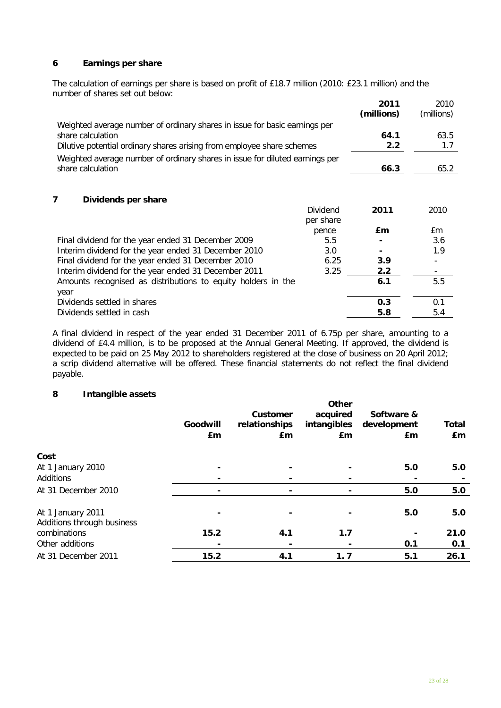# **6 Earnings per share**

The calculation of earnings per share is based on profit of £18.7 million (2010: £23.1 million) and the number of shares set out below: **2011**

| nambor or shares sot out bolow.<br>Weighted average number of ordinary shares in issue for basic earnings per |                                | 2011<br>(millions) | 2010<br>(millions) |
|---------------------------------------------------------------------------------------------------------------|--------------------------------|--------------------|--------------------|
| share calculation                                                                                             |                                | 64.1               | 63.5               |
| Dilutive potential ordinary shares arising from employee share schemes                                        | 2.2                            | 1.7                |                    |
| Weighted average number of ordinary shares in issue for diluted earnings per                                  |                                |                    |                    |
| share calculation                                                                                             |                                | 66.3               | 65.2               |
| 7<br>Dividends per share                                                                                      | Dividend<br>per share<br>pence | 2011<br>£m         | 2010<br>£m         |
| Final dividend for the year ended 31 December 2009                                                            | 5.5                            |                    | 3.6                |
| Interim dividend for the year ended 31 December 2010                                                          | 3.0                            |                    | 1.9                |
| Final dividend for the year ended 31 December 2010                                                            | 6.25                           | 3.9                |                    |
| Interim dividend for the year ended 31 December 2011                                                          | 3.25                           | 2.2                |                    |
| Amounts recognised as distributions to equity holders in the<br>year                                          |                                | 6.1                | 5.5                |
| Dividends settled in shares                                                                                   |                                | 0.3                | 0.1                |
| Dividends settled in cash                                                                                     |                                | 5.8                | 5.4                |

A final dividend in respect of the year ended 31 December 2011 of 6.75p per share, amounting to a dividend of £4.4 million, is to be proposed at the Annual General Meeting. If approved, the dividend is expected to be paid on 25 May 2012 to shareholders registered at the close of business on 20 April 2012; a scrip dividend alternative will be offered. These financial statements do not reflect the final dividend payable.

## **8 Intangible assets**

|                                                 | Goodwill<br>£m | Customer<br>relationships<br>£m | Other<br>acquired<br>intangibles<br>£m | Software &<br>development<br>£m | <b>Total</b><br>£m |
|-------------------------------------------------|----------------|---------------------------------|----------------------------------------|---------------------------------|--------------------|
| Cost                                            |                |                                 |                                        |                                 |                    |
| At 1 January 2010                               | $\blacksquare$ |                                 |                                        | 5.0                             | 5.0                |
| <b>Additions</b>                                |                |                                 |                                        |                                 |                    |
| At 31 December 2010                             | ۰              |                                 |                                        | 5.0                             | 5.0                |
| At 1 January 2011<br>Additions through business |                |                                 |                                        | 5.0                             | 5.0                |
| combinations                                    | 15.2           | 4.1                             | 1.7                                    |                                 | 21.0               |
| Other additions                                 |                |                                 |                                        | 0.1                             | 0.1                |
| At 31 December 2011                             | 15.2           | 4.1                             | 1.7                                    | 5.1                             | 26.1               |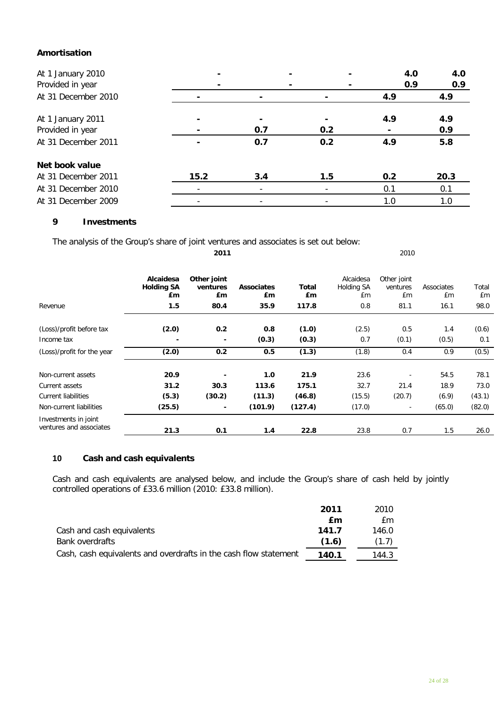# **Amortisation**

| At 1 January 2010<br>Provided in year |      |     |     |     | 4.0<br>0.9 | 4.0<br>0.9 |
|---------------------------------------|------|-----|-----|-----|------------|------------|
| At 31 December 2010                   |      |     |     | 4.9 |            | 4.9        |
| At 1 January 2011                     |      |     |     | 4.9 |            | 4.9        |
| Provided in year                      |      | 0.7 | 0.2 |     |            | 0.9        |
| At 31 December 2011                   |      | 0.7 | 0.2 | 4.9 |            | 5.8        |
| Net book value                        |      |     |     |     |            |            |
| At 31 December 2011                   | 15.2 | 3.4 | 1.5 | 0.2 |            | 20.3       |
| At 31 December 2010                   |      |     |     | 0.1 |            | 0.1        |
| At 31 December 2009                   |      |     |     | 1.0 |            | 1.0        |

# **9 Investments**

The analysis of the Group's share of joint ventures and associates is set out below:

| Revenue                                         | Alcaidesa<br><b>Holding SA</b><br>£m<br>1.5 | Other joint<br>ventures<br>£m<br>80.4 | <b>Associates</b><br><b>£m</b><br>35.9 | Total<br>£m<br>117.8 | Alcaidesa<br>Holding SA<br>£m<br>0.8 | Other joint<br>ventures<br>£m<br>81.1 | Associates<br>£m<br>16.1 | Total<br>£m<br>98.0 |
|-------------------------------------------------|---------------------------------------------|---------------------------------------|----------------------------------------|----------------------|--------------------------------------|---------------------------------------|--------------------------|---------------------|
| (Loss)/profit before tax                        | (2.0)                                       | 0.2                                   | 0.8                                    | (1.0)                | (2.5)                                | 0.5                                   | 1.4                      | (0.6)               |
| Income tax                                      |                                             | $\overline{\phantom{a}}$              | (0.3)                                  | (0.3)                | 0.7                                  | (0.1)                                 | (0.5)                    | 0.1                 |
| (Loss)/profit for the year                      | (2.0)                                       | 0.2                                   | 0.5                                    | (1.3)                | (1.8)                                | 0.4                                   | 0.9                      | (0.5)               |
| Non-current assets                              | 20.9                                        | ٠                                     | 1.0                                    | 21.9                 | 23.6                                 |                                       | 54.5                     | 78.1                |
| Current assets                                  | 31.2                                        | 30.3                                  | 113.6                                  | 175.1                | 32.7                                 | 21.4                                  | 18.9                     | 73.0                |
| <b>Current liabilities</b>                      | (5.3)                                       | (30.2)                                | (11.3)                                 | (46.8)               | (15.5)                               | (20.7)                                | (6.9)                    | (43.1)              |
| Non-current liabilities                         | (25.5)                                      | $\blacksquare$                        | (101.9)                                | (127.4)              | (17.0)                               |                                       | (65.0)                   | (82.0)              |
| Investments in joint<br>ventures and associates | 21.3                                        | 0.1                                   | 1.4                                    | 22.8                 | 23.8                                 | 0.7                                   | 1.5                      | 26.0                |

**2011** 2010

# **10 Cash and cash equivalents**

Cash and cash equivalents are analysed below, and include the Group's share of cash held by jointly controlled operations of £33.6 million (2010: £33.8 million).

|                                                                  | 2011  | 2010  |
|------------------------------------------------------------------|-------|-------|
|                                                                  | £m    | £m    |
| Cash and cash equivalents                                        | 141.7 | 146.0 |
| Bank overdrafts                                                  | (1.6) | (1.7) |
| Cash, cash equivalents and overdrafts in the cash flow statement | 140.1 | 144.3 |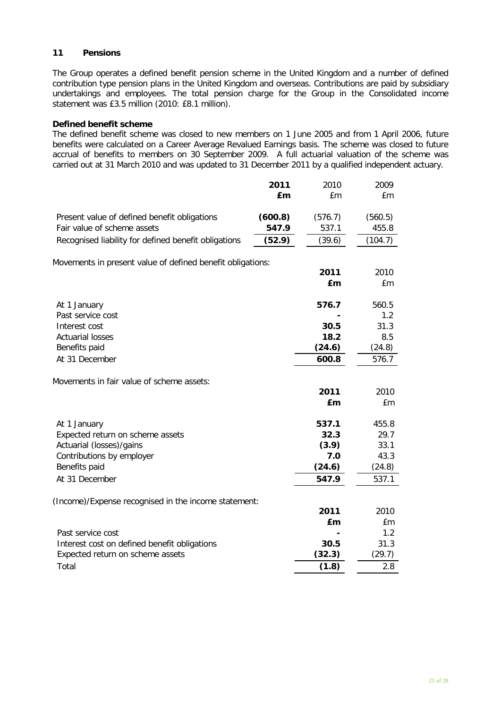# **11 Pensions**

The Group operates a defined benefit pension scheme in the United Kingdom and a number of defined contribution type pension plans in the United Kingdom and overseas. Contributions are paid by subsidiary undertakings and employees. The total pension charge for the Group in the Consolidated income statement was £3.5 million (2010: £8.1 million).

#### **Defined benefit scheme**

The defined benefit scheme was closed to new members on 1 June 2005 and from 1 April 2006, future benefits were calculated on a Career Average Revalued Earnings basis. The scheme was closed to future accrual of benefits to members on 30 September 2009. A full actuarial valuation of the scheme was carried out at 31 March 2010 and was updated to 31 December 2011 by a qualified independent actuary.

|                                                                             | 2011             | 2010             | 2009             |
|-----------------------------------------------------------------------------|------------------|------------------|------------------|
|                                                                             | £m               | £m               | £m               |
|                                                                             |                  |                  |                  |
| Present value of defined benefit obligations<br>Fair value of scheme assets | (600.8)<br>547.9 | (576.7)<br>537.1 | (560.5)<br>455.8 |
| Recognised liability for defined benefit obligations                        | (52.9)           | (39.6)           | (104.7)          |
|                                                                             |                  |                  |                  |
| Movements in present value of defined benefit obligations:                  |                  |                  |                  |
|                                                                             |                  | 2011             | 2010             |
|                                                                             |                  | £m               | £m               |
|                                                                             |                  | 576.7            | 560.5            |
| At 1 January<br>Past service cost                                           |                  |                  | 1.2              |
| Interest cost                                                               |                  | 30.5             | 31.3             |
| <b>Actuarial losses</b>                                                     |                  | 18.2             | 8.5              |
| Benefits paid                                                               |                  | (24.6)           | (24.8)           |
| At 31 December                                                              |                  | 600.8            | 576.7            |
|                                                                             |                  |                  |                  |
| Movements in fair value of scheme assets:                                   |                  |                  |                  |
|                                                                             |                  | 2011             | 2010             |
|                                                                             |                  | £m               | £m               |
| At 1 January                                                                |                  | 537.1            | 455.8            |
| Expected return on scheme assets                                            |                  | 32.3             | 29.7             |
| Actuarial (losses)/gains                                                    |                  | (3.9)            | 33.1             |
| Contributions by employer                                                   |                  | 7.0              | 43.3             |
| Benefits paid                                                               |                  | (24.6)           | (24.8)           |
| At 31 December                                                              |                  | 547.9            | 537.1            |
|                                                                             |                  |                  |                  |
| (Income)/Expense recognised in the income statement:                        |                  |                  | 2010             |
|                                                                             |                  | 2011<br>£m       | £m               |
| Past service cost                                                           |                  |                  | 1.2              |
| Interest cost on defined benefit obligations                                |                  | 30.5             | 31.3             |
| Expected return on scheme assets                                            |                  | (32.3)           | (29.7)           |
| Total                                                                       |                  | (1.8)            | 2.8              |
|                                                                             |                  |                  |                  |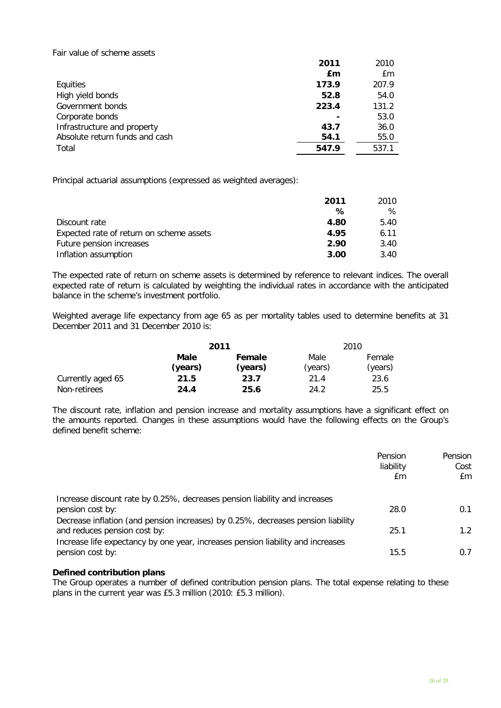#### Fair value of scheme assets

|                                | 2011  | 2010  |
|--------------------------------|-------|-------|
|                                | £m    | £m    |
| Equities                       | 173.9 | 207.9 |
| High yield bonds               | 52.8  | 54.0  |
| Government bonds               | 223.4 | 131.2 |
| Corporate bonds                |       | 53.0  |
| Infrastructure and property    | 43.7  | 36.0  |
| Absolute return funds and cash | 54.1  | 55.0  |
| Total                          | 547.9 | 537.1 |

Principal actuarial assumptions (expressed as weighted averages):

|                                          | 2011 | 2010 |
|------------------------------------------|------|------|
|                                          | ℅    | ℅    |
| Discount rate                            | 4.80 | 5.40 |
| Expected rate of return on scheme assets | 4.95 | 6.11 |
| Future pension increases                 | 2.90 | 3.40 |
| Inflation assumption                     | 3.00 | 3.40 |

The expected rate of return on scheme assets is determined by reference to relevant indices. The overall expected rate of return is calculated by weighting the individual rates in accordance with the anticipated balance in the scheme's investment portfolio.

Weighted average life expectancy from age 65 as per mortality tables used to determine benefits at 31 December 2011 and 31 December 2010 is:

|                   |                 | 2011              |                 | 2010              |
|-------------------|-----------------|-------------------|-----------------|-------------------|
|                   | Male<br>(years) | Female<br>(years) | Male<br>(years) | Female<br>(years) |
| Currently aged 65 | 21.5            | 23.7              | 21.4            | 23.6              |
| Non-retirees      | 24.4            | 25.6              | 24.2            | 25.5              |

The discount rate, inflation and pension increase and mortality assumptions have a significant effect on the amounts reported. Changes in these assumptions would have the following effects on the Group's defined benefit scheme:

|                                                                                                                                                                                    | Pension<br>liability<br>£m | Pension<br>Cost<br>£m |
|------------------------------------------------------------------------------------------------------------------------------------------------------------------------------------|----------------------------|-----------------------|
| Increase discount rate by 0.25%, decreases pension liability and increases<br>pension cost by:<br>Decrease inflation (and pension increases) by 0.25%, decreases pension liability | 28.0                       | 0.1                   |
| and reduces pension cost by:                                                                                                                                                       | 25.1                       | 1.2 <sub>1</sub>      |
| Increase life expectancy by one year, increases pension liability and increases<br>pension cost by:                                                                                | 15.5                       | 0.7                   |

## **Defined contribution plans**

The Group operates a number of defined contribution pension plans. The total expense relating to these plans in the current year was £5.3 million (2010: £5.3 million).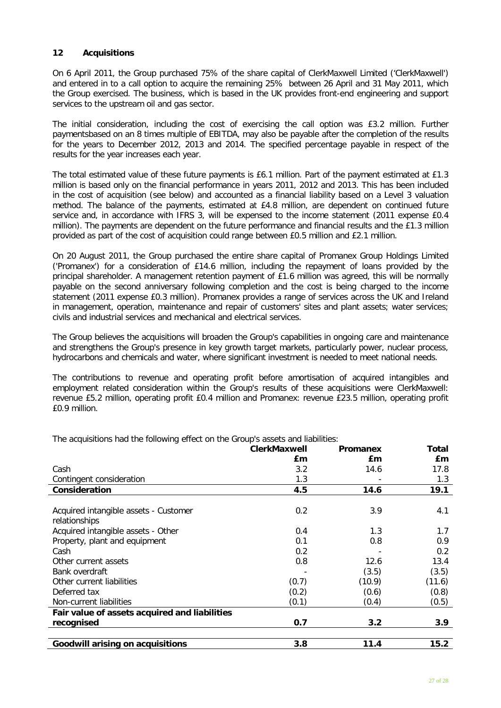## **12 Acquisitions**

On 6 April 2011, the Group purchased 75% of the share capital of ClerkMaxwell Limited ('ClerkMaxwell') and entered in to a call option to acquire the remaining 25% between 26 April and 31 May 2011, which the Group exercised. The business, which is based in the UK provides front-end engineering and support services to the upstream oil and gas sector.

The initial consideration, including the cost of exercising the call option was £3.2 million. Further paymentsbased on an 8 times multiple of EBITDA, may also be payable after the completion of the results for the years to December 2012, 2013 and 2014. The specified percentage payable in respect of the results for the year increases each year.

The total estimated value of these future payments is £6.1 million. Part of the payment estimated at £1.3 million is based only on the financial performance in years 2011, 2012 and 2013. This has been included in the cost of acquisition (see below) and accounted as a financial liability based on a Level 3 valuation method. The balance of the payments, estimated at £4.8 million, are dependent on continued future service and, in accordance with IFRS 3, will be expensed to the income statement (2011 expense £0.4 million). The payments are dependent on the future performance and financial results and the £1.3 million provided as part of the cost of acquisition could range between £0.5 million and £2.1 million.

On 20 August 2011, the Group purchased the entire share capital of Promanex Group Holdings Limited ('Promanex') for a consideration of £14.6 million, including the repayment of loans provided by the principal shareholder. A management retention payment of £1.6 million was agreed, this will be normally payable on the second anniversary following completion and the cost is being charged to the income statement (2011 expense £0.3 million). Promanex provides a range of services across the UK and Ireland in management, operation, maintenance and repair of customers' sites and plant assets; water services; civils and industrial services and mechanical and electrical services.

The Group believes the acquisitions will broaden the Group's capabilities in ongoing care and maintenance and strengthens the Group's presence in key growth target markets, particularly power, nuclear process, hydrocarbons and chemicals and water, where significant investment is needed to meet national needs.

The contributions to revenue and operating profit before amortisation of acquired intangibles and employment related consideration within the Group's results of these acquisitions were ClerkMaxwell: revenue £5.2 million, operating profit £0.4 million and Promanex: revenue £23.5 million, operating profit £0.9 million.

The acquisitions had the following effect on the Group's assets and liabilities:

|                                               | <b>ClerkMaxwell</b> | <b>Promanex</b> | Total  |
|-----------------------------------------------|---------------------|-----------------|--------|
|                                               | £m                  | £m              | £m     |
| Cash                                          | 3.2                 | 14.6            | 17.8   |
| Contingent consideration                      | 1.3                 |                 | 1.3    |
| Consideration                                 | 4.5                 | 14.6            | 19.1   |
|                                               |                     |                 |        |
| Acquired intangible assets - Customer         | 0.2                 | 3.9             | 4.1    |
| relationships                                 |                     |                 |        |
| Acquired intangible assets - Other            | 0.4                 | 1.3             | 1.7    |
| Property, plant and equipment                 | 0.1                 | 0.8             | 0.9    |
| Cash                                          | 0.2                 |                 | 0.2    |
| Other current assets                          | 0.8                 | 12.6            | 13.4   |
| Bank overdraft                                |                     | (3.5)           | (3.5)  |
| Other current liabilities                     | (0.7)               | (10.9)          | (11.6) |
| Deferred tax                                  | (0.2)               | (0.6)           | (0.8)  |
| Non-current liabilities                       | (0.1)               | (0.4)           | (0.5)  |
| Fair value of assets acquired and liabilities |                     |                 |        |
| recognised                                    | 0.7                 | 3.2             | 3.9    |
|                                               |                     |                 |        |
| <b>Goodwill arising on acquisitions</b>       | 3.8                 | 11.4            | 15.2   |